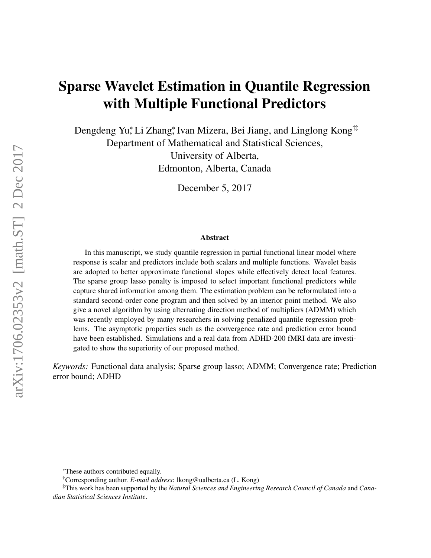# Sparse Wavelet Estimation in Quantile Regression with Multiple Functional Predictors

Dengdeng Yu,\* Li Zhang,\* Ivan Mizera, Bei Jiang, and Linglong Kong<sup>†‡</sup> Department of Mathematical and Statistical Sciences, University of Alberta,

Edmonton, Alberta, Canada

December 5, 2017

#### Abstract

In this manuscript, we study quantile regression in partial functional linear model where response is scalar and predictors include both scalars and multiple functions. Wavelet basis are adopted to better approximate functional slopes while effectively detect local features. The sparse group lasso penalty is imposed to select important functional predictors while capture shared information among them. The estimation problem can be reformulated into a standard second-order cone program and then solved by an interior point method. We also give a novel algorithm by using alternating direction method of multipliers (ADMM) which was recently employed by many researchers in solving penalized quantile regression problems. The asymptotic properties such as the convergence rate and prediction error bound have been established. Simulations and a real data from ADHD-200 fMRI data are investigated to show the superiority of our proposed method.

*Keywords:* Functional data analysis; Sparse group lasso; ADMM; Convergence rate; Prediction error bound; ADHD

<sup>∗</sup>These authors contributed equally.

<sup>†</sup>Corresponding author. *E-mail address*: lkong@ualberta.ca (L. Kong)

<sup>‡</sup>This work has been supported by the *Natural Sciences and Engineering Research Council of Canada* and *Canadian Statistical Sciences Institute*.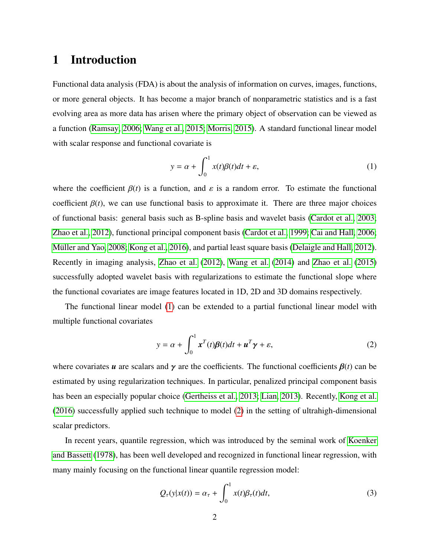# 1 Introduction

Functional data analysis (FDA) is about the analysis of information on curves, images, functions, or more general objects. It has become a major branch of nonparametric statistics and is a fast evolving area as more data has arisen where the primary object of observation can be viewed as a function [\(Ramsay, 2006;](#page-33-0) [Wang et al., 2015;](#page-34-0) [Morris, 2015\)](#page-33-1). A standard functional linear model with scalar response and functional covariate is

<span id="page-1-0"></span>
$$
y = \alpha + \int_0^1 x(t)\beta(t)dt + \varepsilon,
$$
\n(1)

where the coefficient  $\beta(t)$  is a function, and  $\varepsilon$  is a random error. To estimate the functional coefficient  $\beta(t)$ , we can use functional basis to approximate it. There are three major choices of functional basis: general basis such as B-spline basis and wavelet basis [\(Cardot et al., 2003;](#page-31-0) [Zhao et al., 2012\)](#page-34-1), functional principal component basis [\(Cardot et al., 1999;](#page-30-0) [Cai and Hall, 2006;](#page-30-1) Müller and Yao, 2008; [Kong et al., 2016\)](#page-32-0), and partial least square basis [\(Delaigle and Hall, 2012\)](#page-31-1). Recently in imaging analysis, [Zhao et al.](#page-34-1) [\(2012\)](#page-34-1), [Wang et al.](#page-34-2) [\(2014\)](#page-34-2) and [Zhao et al.](#page-34-3) [\(2015\)](#page-34-3) successfully adopted wavelet basis with regularizations to estimate the functional slope where the functional covariates are image features located in 1D, 2D and 3D domains respectively.

The functional linear model [\(1\)](#page-1-0) can be extended to a partial functional linear model with multiple functional covariates

<span id="page-1-1"></span>
$$
y = \alpha + \int_0^1 x^T(t)\beta(t)dt + u^T\gamma + \varepsilon,
$$
\n(2)

where covariates *u* are scalars and  $\gamma$  are the coefficients. The functional coefficients  $\beta(t)$  can be estimated by using regularization techniques. In particular, penalized principal component basis has been an especially popular choice [\(Gertheiss et al., 2013;](#page-31-2) [Lian, 2013\)](#page-32-1). Recently, [Kong et al.](#page-32-0) [\(2016\)](#page-32-0) successfully applied such technique to model [\(2\)](#page-1-1) in the setting of ultrahigh-dimensional scalar predictors.

In recent years, quantile regression, which was introduced by the seminal work of [Koenker](#page-32-2) [and Bassett](#page-32-2) [\(1978\)](#page-32-2), has been well developed and recognized in functional linear regression, with many mainly focusing on the functional linear quantile regression model:

<span id="page-1-2"></span>
$$
Q_{\tau}(y|x(t)) = \alpha_{\tau} + \int_0^1 x(t)\beta_{\tau}(t)dt,
$$
\n(3)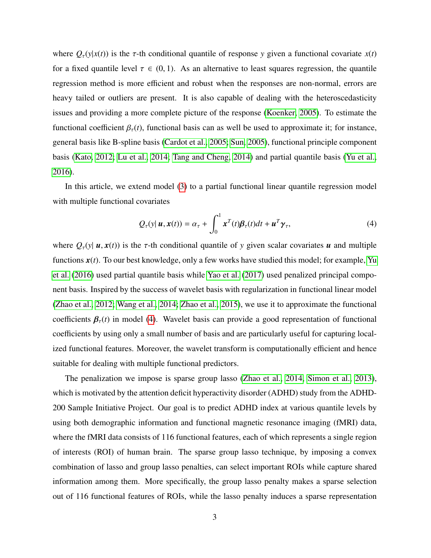where  $Q_{\tau}(y|x(t))$  is the  $\tau$ -th conditional quantile of response *y* given a functional covariate  $x(t)$ for a fixed quantile level  $\tau \in (0, 1)$ . As an alternative to least squares regression, the quantile regression method is more efficient and robust when the responses are non-normal, errors are heavy tailed or outliers are present. It is also capable of dealing with the heteroscedasticity issues and providing a more complete picture of the response [\(Koenker, 2005\)](#page-32-3). To estimate the functional coefficient  $\beta_{\tau}(t)$ , functional basis can as well be used to approximate it; for instance, general basis like B-spline basis [\(Cardot et al., 2005;](#page-30-2) [Sun, 2005\)](#page-33-3), functional principle component basis [\(Kato, 2012;](#page-32-4) [Lu et al., 2014;](#page-32-5) [Tang and Cheng, 2014\)](#page-33-4) and partial quantile basis [\(Yu et al.,](#page-34-4) [2016\)](#page-34-4).

In this article, we extend model [\(3\)](#page-1-2) to a partial functional linear quantile regression model with multiple functional covariates

<span id="page-2-0"></span>
$$
Q_{\tau}(y|\mathbf{u}, \mathbf{x}(t)) = \alpha_{\tau} + \int_0^1 \mathbf{x}^T(t)\boldsymbol{\beta}_{\tau}(t)dt + \mathbf{u}^T\boldsymbol{\gamma}_{\tau},
$$
\n(4)

where  $Q_{\tau}(y | u, x(t))$  is the  $\tau$ -th conditional quantile of y given scalar covariates *u* and multiple functions  $x(t)$ . To our best knowledge, only a few works have studied this model; for example, [Yu](#page-34-4) [et al.](#page-34-4) [\(2016\)](#page-34-4) used partial quantile basis while [Yao et al.](#page-34-5) [\(2017\)](#page-34-5) used penalized principal component basis. Inspired by the success of wavelet basis with regularization in functional linear model [\(Zhao et al., 2012;](#page-34-1) [Wang et al., 2014;](#page-34-2) [Zhao et al., 2015\)](#page-34-3), we use it to approximate the functional coefficients  $\beta_{\tau}(t)$  in model [\(4\)](#page-2-0). Wavelet basis can provide a good representation of functional coefficients by using only a small number of basis and are particularly useful for capturing localized functional features. Moreover, the wavelet transform is computationally efficient and hence suitable for dealing with multiple functional predictors.

The penalization we impose is sparse group lasso [\(Zhao et al., 2014,](#page-34-6) [Simon et al., 2013\)](#page-33-5), which is motivated by the attention deficit hyperactivity disorder (ADHD) study from the ADHD-200 Sample Initiative Project. Our goal is to predict ADHD index at various quantile levels by using both demographic information and functional magnetic resonance imaging (fMRI) data, where the fMRI data consists of 116 functional features, each of which represents a single region of interests (ROI) of human brain. The sparse group lasso technique, by imposing a convex combination of lasso and group lasso penalties, can select important ROIs while capture shared information among them. More specifically, the group lasso penalty makes a sparse selection out of 116 functional features of ROIs, while the lasso penalty induces a sparse representation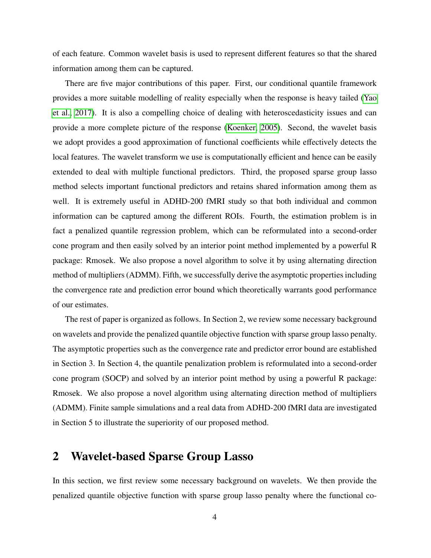of each feature. Common wavelet basis is used to represent different features so that the shared information among them can be captured.

There are five major contributions of this paper. First, our conditional quantile framework provides a more suitable modelling of reality especially when the response is heavy tailed [\(Yao](#page-34-5) [et al., 2017\)](#page-34-5). It is also a compelling choice of dealing with heteroscedasticity issues and can provide a more complete picture of the response [\(Koenker, 2005\)](#page-32-3). Second, the wavelet basis we adopt provides a good approximation of functional coefficients while effectively detects the local features. The wavelet transform we use is computationally efficient and hence can be easily extended to deal with multiple functional predictors. Third, the proposed sparse group lasso method selects important functional predictors and retains shared information among them as well. It is extremely useful in ADHD-200 fMRI study so that both individual and common information can be captured among the different ROIs. Fourth, the estimation problem is in fact a penalized quantile regression problem, which can be reformulated into a second-order cone program and then easily solved by an interior point method implemented by a powerful R package: Rmosek. We also propose a novel algorithm to solve it by using alternating direction method of multipliers (ADMM). Fifth, we successfully derive the asymptotic properties including the convergence rate and prediction error bound which theoretically warrants good performance of our estimates.

The rest of paper is organized as follows. In Section 2, we review some necessary background on wavelets and provide the penalized quantile objective function with sparse group lasso penalty. The asymptotic properties such as the convergence rate and predictor error bound are established in Section 3. In Section 4, the quantile penalization problem is reformulated into a second-order cone program (SOCP) and solved by an interior point method by using a powerful R package: Rmosek. We also propose a novel algorithm using alternating direction method of multipliers (ADMM). Finite sample simulations and a real data from ADHD-200 fMRI data are investigated in Section 5 to illustrate the superiority of our proposed method.

## 2 Wavelet-based Sparse Group Lasso

In this section, we first review some necessary background on wavelets. We then provide the penalized quantile objective function with sparse group lasso penalty where the functional co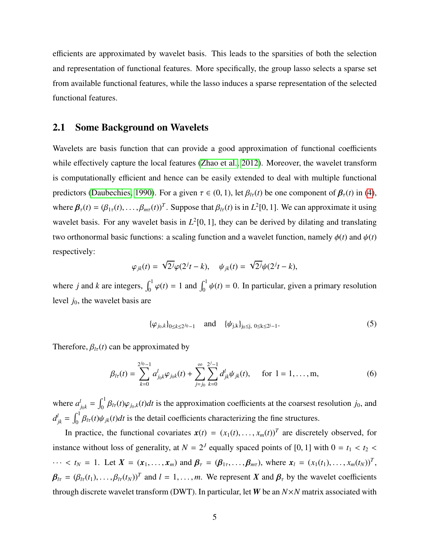efficients are approximated by wavelet basis. This leads to the sparsities of both the selection and representation of functional features. More specifically, the group lasso selects a sparse set from available functional features, while the lasso induces a sparse representation of the selected functional features.

### 2.1 Some Background on Wavelets

Wavelets are basis function that can provide a good approximation of functional coefficients while effectively capture the local features [\(Zhao et al., 2012\)](#page-34-1). Moreover, the wavelet transform is computationally efficient and hence can be easily extended to deal with multiple functional predictors [\(Daubechies, 1990\)](#page-31-3). For a given  $\tau \in (0, 1)$ , let  $\beta_{t\tau}(t)$  be one component of  $\beta_{\tau}(t)$  in [\(4\)](#page-2-0), where  $\beta_{\tau}(t) = (\beta_{1\tau}(t), \dots, \beta_{m\tau}(t))^T$ . Suppose that  $\beta_{l\tau}(t)$  is in  $L^2[0, 1]$ . We can approximate it using wavelet basis. For any wavelet basis in  $L^2[0, 1]$ , they can be derived by dilating and translating two orthonormal basic functions: a scaling function and a wavelet function, namely  $\phi(t)$  and  $\psi(t)$ respectively:

$$
\varphi_{jk}(t) = \sqrt{2^j}\varphi(2^j t - k), \quad \psi_{jk}(t) = \sqrt{2^j}\psi(2^j t - k),
$$

where *j* and *k* are integers,  $\int_0^1 \varphi(t) = 1$  and  $\int_0^1 \psi(t) = 0$ . In particular, given a primary resolution level *j*0, the wavelet basis are

$$
\{\varphi_{j_0,k}\}_{0\leq k\leq 2^{j_0}-1} \quad \text{and} \quad \{\psi_{j,k}\}_{j_0\leq j, \ 0\leq k\leq 2^{j}-1}.\tag{5}
$$

Therefore,  $\beta_{l\tau}(t)$  can be approximated by

$$
\beta_{l\tau}(t) = \sum_{k=0}^{2^{j_0}-1} a_{j_0k}^l \varphi_{j_0k}(t) + \sum_{j=j_0}^{\infty} \sum_{k=0}^{2^{j}-1} d_{jk}^l \psi_{jk}(t), \quad \text{ for } l = 1, ..., m,
$$
 (6)

where  $a_{j_0k}^l = \int_0^1 \beta_{l\tau}(t)\varphi_{j_0,k}(t)dt$  is the approximation coefficients at the coarsest resolution *j*<sub>0</sub>, and  $d_{jk}^l = \int_0^1 \beta_{lr}(t) \psi_{jk}(t) dt$  is the detail coefficients characterizing the fine structures.

In practice, the functional covariates  $\mathbf{x}(t) = (x_1(t), \dots, x_m(t))^T$  are discretely observed, for instance without loss of generality, at  $N = 2^J$  equally spaced points of [0, 1] with  $0 = t_1 < t_2 <$  $\cdots$  <  $t_N = 1$ . Let  $X = (x_1, ..., x_m)$  and  $\beta_\tau = (\beta_{1\tau}, ..., \beta_{m\tau})$ , where  $x_l = (x_1(t_1), ..., x_m(t_N))^T$ ,  $\beta_{l\tau} = (\beta_{l\tau}(t_1), \dots, \beta_{l\tau}(t_N))^T$  and  $l = 1, \dots, m$ . We represent *X* and  $\beta_{\tau}$  by the wavelet coefficients through discrete wavelet transform (DWT). In particular, let *W* be an *N*×*N* matrix associated with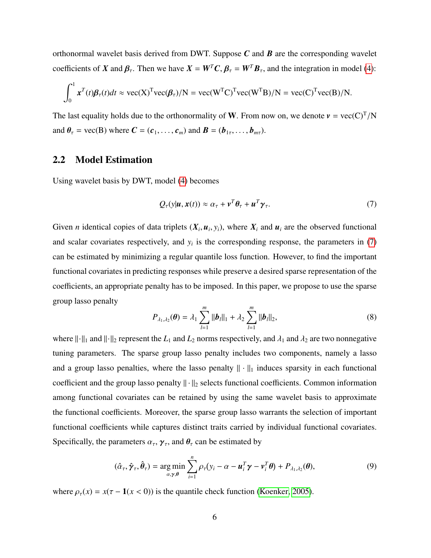orthonormal wavelet basis derived from DWT. Suppose *C* and *B* are the corresponding wavelet coefficients of *X* and  $\beta_{\tau}$ . Then we have  $X = W^T C$ ,  $\beta_{\tau} = W^T B_{\tau}$ , and the integration in model [\(4\)](#page-2-0):

$$
\int_0^1 x^T(t)\boldsymbol{\beta}_{\tau}(t)dt \approx \text{vec}(\mathbf{X})^{\text{T}}\text{vec}(\boldsymbol{\beta}_{\tau})/\mathbf{N} = \text{vec}(\mathbf{W}^{\text{T}}\mathbf{C})^{\text{T}}\text{vec}(\mathbf{W}^{\text{T}}\mathbf{B})/\mathbf{N} = \text{vec}(\mathbf{C})^{\text{T}}\text{vec}(\mathbf{B})/\mathbf{N}.
$$

The last equality holds due to the orthonormality of **W**. From now on, we denote  $v = \text{vec}(C)^T/N$ and  $\theta_{\tau}$  = vec(B) where  $\mathbf{C} = (\mathbf{c}_1, \dots, \mathbf{c}_m)$  and  $\mathbf{B} = (\mathbf{b}_{1\tau}, \dots, \mathbf{b}_{m\tau})$ .

## 2.2 Model Estimation

Using wavelet basis by DWT, model [\(4\)](#page-2-0) becomes

<span id="page-5-0"></span>
$$
Q_{\tau}(y|\boldsymbol{u}, \boldsymbol{x}(t)) \approx \alpha_{\tau} + \boldsymbol{v}^{T} \boldsymbol{\theta}_{\tau} + \boldsymbol{u}^{T} \boldsymbol{\gamma}_{\tau}.
$$
 (7)

Given *n* identical copies of data triplets  $(X_i, u_i, y_i)$ , where  $X_i$  and  $u_i$  are the observed functional and scalar covariates respectively, and  $y_i$  is the corresponding response, the parameters in  $(7)$ can be estimated by minimizing a regular quantile loss function. However, to find the important functional covariates in predicting responses while preserve a desired sparse representation of the coefficients, an appropriate penalty has to be imposed. In this paper, we propose to use the sparse group lasso penalty

$$
P_{\lambda_1, \lambda_2}(\boldsymbol{\theta}) = \lambda_1 \sum_{l=1}^m \|\boldsymbol{b}_l\|_1 + \lambda_2 \sum_{l=1}^m \|\boldsymbol{b}_l\|_2, \tag{8}
$$

where  $\|\cdot\|_1$  and  $\|\cdot\|_2$  represent the  $L_1$  and  $L_2$  norms respectively, and  $\lambda_1$  and  $\lambda_2$  are two nonnegative tuning parameters. The sparse group lasso penalty includes two components, namely a lasso and a group lasso penalties, where the lasso penalty  $\|\cdot\|_1$  induces sparsity in each functional coefficient and the group lasso penalty  $\|\cdot\|_2$  selects functional coefficients. Common information among functional covariates can be retained by using the same wavelet basis to approximate the functional coefficients. Moreover, the sparse group lasso warrants the selection of important functional coefficients while captures distinct traits carried by individual functional covariates. Specifically, the parameters  $\alpha_{\tau}$ ,  $\gamma_{\tau}$ , and  $\theta_{\tau}$  can be estimated by

<span id="page-5-1"></span>
$$
(\hat{\alpha}_{\tau}, \hat{\gamma}_{\tau}, \hat{\theta}_{\tau}) = \underset{\alpha, \gamma, \theta}{\arg \min} \sum_{i=1}^{n} \rho_{\tau}(y_i - \alpha - \boldsymbol{u}_i^T \boldsymbol{\gamma} - \boldsymbol{v}_i^T \boldsymbol{\theta}) + P_{\lambda_1, \lambda_2}(\boldsymbol{\theta}), \tag{9}
$$

where  $\rho_{\tau}(x) = x(\tau - 1(x < 0))$  is the quantile check function [\(Koenker, 2005\)](#page-32-3).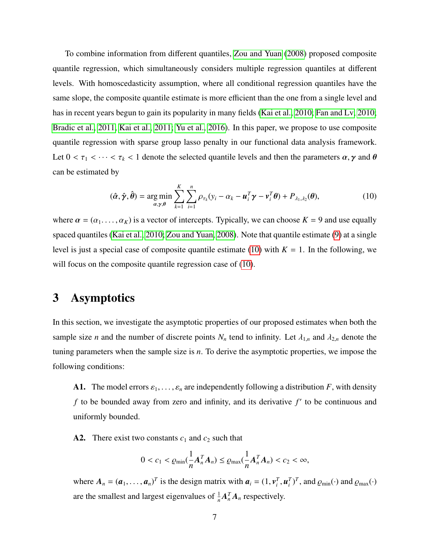To combine information from different quantiles, [Zou and Yuan](#page-35-0) [\(2008\)](#page-35-0) proposed composite quantile regression, which simultaneously considers multiple regression quantiles at different levels. With homoscedasticity assumption, where all conditional regression quantiles have the same slope, the composite quantile estimate is more efficient than the one from a single level and has in recent years begun to gain its popularity in many fields [\(Kai et al., 2010;](#page-31-4) [Fan and Lv, 2010;](#page-31-5) [Bradic et al., 2011,](#page-30-3) [Kai et al., 2011;](#page-31-6) [Yu et al., 2016\)](#page-34-4). In this paper, we propose to use composite quantile regression with sparse group lasso penalty in our functional data analysis framework. Let  $0 < \tau_1 < \cdots < \tau_k < 1$  denote the selected quantile levels and then the parameters  $\alpha, \gamma$  and  $\theta$ can be estimated by

<span id="page-6-0"></span>
$$
(\hat{\alpha}, \hat{\gamma}, \hat{\theta}) = \underset{\alpha, \gamma, \theta}{\arg \min} \sum_{k=1}^{K} \sum_{i=1}^{n} \rho_{\tau_k} (y_i - \alpha_k - \boldsymbol{u}_i^T \boldsymbol{\gamma} - \boldsymbol{v}_i^T \boldsymbol{\theta}) + P_{\lambda_1, \lambda_2}(\boldsymbol{\theta}), \qquad (10)
$$

where  $\alpha = (\alpha_1, \dots, \alpha_K)$  is a vector of intercepts. Typically, we can choose  $K = 9$  and use equally spaced quantiles [\(Kai et al., 2010;](#page-31-4) [Zou and Yuan, 2008\)](#page-35-0). Note that quantile estimate [\(9\)](#page-5-1) at a single level is just a special case of composite quantile estimate [\(10\)](#page-6-0) with  $K = 1$ . In the following, we will focus on the composite quantile regression case of [\(10\)](#page-6-0).

## 3 Asymptotics

In this section, we investigate the asymptotic properties of our proposed estimates when both the sample size *n* and the number of discrete points  $N_n$  tend to infinity. Let  $\lambda_{1,n}$  and  $\lambda_{2,n}$  denote the tuning parameters when the sample size is *n*. To derive the asymptotic properties, we impose the following conditions:

A1. The model errors  $\varepsilon_1, \ldots, \varepsilon_n$  are independently following a distribution *F*, with density  $f$  to be bounded away from zero and infinity, and its derivative  $f'$  to be continuous and uniformly bounded.

A2. There exist two constants  $c_1$  and  $c_2$  such that

$$
0 < c_1 < \varrho_{\min}(\frac{1}{n} \mathbf{A}_n^T \mathbf{A}_n) \leq \varrho_{\max}(\frac{1}{n} \mathbf{A}_n^T \mathbf{A}_n) < c_2 < \infty,
$$

where  $A_n = (a_1, \dots, a_n)^T$  is the design matrix with  $a_i = (1, v_i^T, u_i^T)^T$ , and  $\varrho_{min}(\cdot)$  and  $\varrho_{max}(\cdot)$ are the smallest and largest eigenvalues of  $\frac{1}{n}A_n^T A_n$  respectively.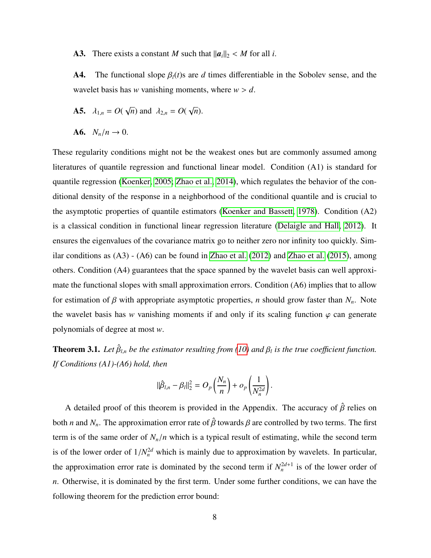A3. There exists a constant *M* such that  $||a_i||_2 < M$  for all *i*.

**A4.** The functional slope  $\beta_l(t)$ s are *d* times differentiable in the Sobolev sense, and the wavelet basis has *w* vanishing moments, where  $w > d$ .

- **A5.**  $\lambda_{1,n} = O($ √  $\overline{n}$ ) and  $\lambda_{2,n} = O(n)$ √ *n*).
- A6.  $N_n/n \to 0$ .

These regularity conditions might not be the weakest ones but are commonly assumed among literatures of quantile regression and functional linear model. Condition (A1) is standard for quantile regression [\(Koenker, 2005;](#page-32-3) [Zhao et al., 2014\)](#page-34-6), which regulates the behavior of the conditional density of the response in a neighborhood of the conditional quantile and is crucial to the asymptotic properties of quantile estimators [\(Koenker and Bassett, 1978\)](#page-32-2). Condition (A2) is a classical condition in functional linear regression literature [\(Delaigle and Hall, 2012\)](#page-31-1). It ensures the eigenvalues of the covariance matrix go to neither zero nor infinity too quickly. Similar conditions as (A3) - (A6) can be found in [Zhao et al.](#page-34-1) [\(2012\)](#page-34-1) and [Zhao et al.](#page-34-3) [\(2015\)](#page-34-3), among others. Condition (A4) guarantees that the space spanned by the wavelet basis can well approximate the functional slopes with small approximation errors. Condition (A6) implies that to allow for estimation of  $\beta$  with appropriate asymptotic properties, *n* should grow faster than  $N_n$ . Note the wavelet basis has *w* vanishing moments if and only if its scaling function  $\varphi$  can generate polynomials of degree at most *w*.

<span id="page-7-0"></span>**Theorem 3.1.** Let  $\hat{\beta}_{l,n}$  be the estimator resulting from [\(10\)](#page-6-0) and  $\beta_l$  is the true coefficient function. *If Conditions (A1)-(A6) hold, then*

$$
\|\hat{\beta}_{l,n} - \beta_l\|_2^2 = O_p\left(\frac{N_n}{n}\right) + o_p\left(\frac{1}{N_n^{2d}}\right).
$$

A detailed proof of this theorem is provided in the Appendix. The accuracy of  $\hat{\beta}$  relies on both *n* and  $N_n$ . The approximation error rate of  $\hat{\beta}$  towards  $\beta$  are controlled by two terms. The first term is of the same order of  $N_n/n$  which is a typical result of estimating, while the second term is of the lower order of  $1/N_n^{2d}$  which is mainly due to approximation by wavelets. In particular, the approximation error rate is dominated by the second term if  $N_n^{2d+1}$  is of the lower order of *n*. Otherwise, it is dominated by the first term. Under some further conditions, we can have the following theorem for the prediction error bound: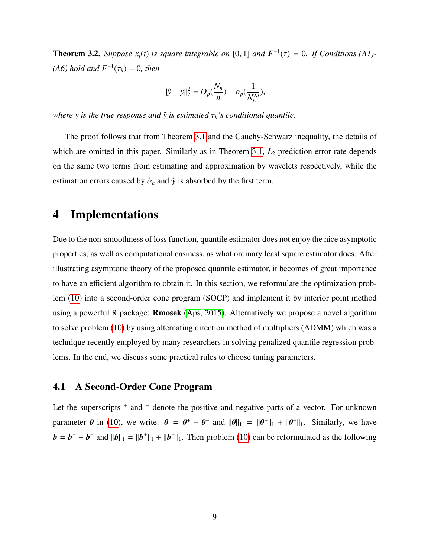**Theorem 3.2.** *Suppose*  $x_l(t)$  *is square integrable on* [0, 1] *and*  $\mathbf{F}^{-1}(\tau) = 0$ *. If Conditions* (A1)- $(A6)$  *hold and*  $F^{-1}(τ_k) = 0$ *, then* 

$$
\|\hat{y} - y\|_2^2 = O_p(\frac{N_n}{n}) + o_p(\frac{1}{N_n^{2d}}),
$$

*where y is the true response and*  $\hat{y}$  *is estimated*  $\tau_k$ *'s conditional quantile.* 

The proof follows that from Theorem [3.1](#page-7-0) and the Cauchy-Schwarz inequality, the details of which are omitted in this paper. Similarly as in Theorem [3.1,](#page-7-0)  $L_2$  prediction error rate depends on the same two terms from estimating and approximation by wavelets respectively, while the estimation errors caused by  $\hat{\alpha}_k$  and  $\hat{\gamma}$  is absorbed by the first term.

# 4 Implementations

Due to the non-smoothness of loss function, quantile estimator does not enjoy the nice asymptotic properties, as well as computational easiness, as what ordinary least square estimator does. After illustrating asymptotic theory of the proposed quantile estimator, it becomes of great importance to have an efficient algorithm to obtain it. In this section, we reformulate the optimization problem [\(10\)](#page-6-0) into a second-order cone program (SOCP) and implement it by interior point method using a powerful R package: Rmosek [\(Aps, 2015\)](#page-30-4). Alternatively we propose a novel algorithm to solve problem [\(10\)](#page-6-0) by using alternating direction method of multipliers (ADMM) which was a technique recently employed by many researchers in solving penalized quantile regression problems. In the end, we discuss some practical rules to choose tuning parameters.

## 4.1 A Second-Order Cone Program

Let the superscripts <sup>+</sup> and <sup>−</sup> denote the positive and negative parts of a vector. For unknown parameter  $\theta$  in [\(10\)](#page-6-0), we write:  $\theta = \theta^+ - \theta^-$  and  $\|\theta\|_1 = \|\theta^+\|_1 + \|\theta^-\|_1$ . Similarly, we have  $\mathbf{b} = \mathbf{b}^+ - \mathbf{b}^-$  and  $\|\mathbf{b}\|_1 = \|\mathbf{b}^+\|_1 + \|\mathbf{b}^-\|_1$ . Then problem [\(10\)](#page-6-0) can be reformulated as the following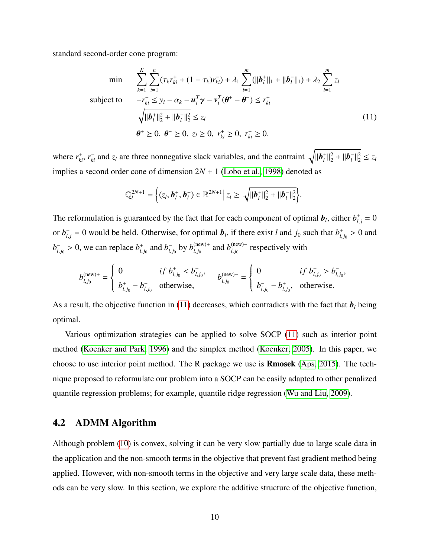standard second-order cone program:

<span id="page-9-0"></span>
$$
\min \qquad \sum_{k=1}^{K} \sum_{i=1}^{n} (\tau_{k} r_{ki}^{+} + (1 - \tau_{k}) r_{ki}^{-}) + \lambda_{1} \sum_{l=1}^{m} (||\boldsymbol{b}_{l}^{+}||_{1} + ||\boldsymbol{b}_{l}^{-}||_{1}) + \lambda_{2} \sum_{l=1}^{m} z_{l}
$$
\n
$$
\text{subject to} \qquad -r_{ki}^{-} \leq y_{i} - \alpha_{k} - \boldsymbol{u}_{i}^{T} \boldsymbol{\gamma} - \boldsymbol{v}_{i}^{T} (\boldsymbol{\theta}^{+} - \boldsymbol{\theta}^{-}) \leq r_{ki}^{+}
$$
\n
$$
\sqrt{||\boldsymbol{b}_{l}^{+}||_{2}^{2} + ||\boldsymbol{b}_{l}^{-}||_{2}^{2}} \leq z_{l}
$$
\n
$$
\boldsymbol{\theta}^{+} \geq 0, \ \boldsymbol{\theta}^{-} \geq 0, \ z_{l} \geq 0, \ r_{ki}^{+} \geq 0, \ r_{ki}^{-} \geq 0.
$$
\n
$$
(11)
$$

where  $r_{ki}^+$ ,  $r_{ki}^-$  and  $z_l$  are three nonnegative slack variables, and the contraint  $\sqrt{\|\bm{b}_l^+\|}$  $||_l^2 + ||b_l^ |l_1^-|$  $|l_2^2 \leq z_l$ implies a second order cone of dimension  $2N + 1$  [\(Lobo et al., 1998\)](#page-32-6) denoted as

$$
\mathbb{Q}_l^{2N+1} = \Big\{ (z_l, \boldsymbol{b}_l^+, \boldsymbol{b}_l^-) \in \mathbb{R}^{2N+1} \Big| \ z_l \geq \sqrt{||\boldsymbol{b}_l^+||_2^2 + ||\boldsymbol{b}_l^-||_2^2} \Big\}.
$$

The reformulation is guaranteed by the fact that for each component of optimal  $\mathbf{b}_l$ , either  $b^{\dagger}_{l,j} = 0$ or  $b_{l,j}^-$  = 0 would be held. Otherwise, for optimal  $b_l$ , if there exist *l* and  $j_0$  such that  $b_{l,j}^+$  $_{l,j_0}^+ > 0$  and  $b^-_l$  $\bar{l}_{l,j_0} > 0$ , we can replace  $b_{l,j_0}^+$  $^{+}_{l,j_0}$  and  $b^{-}_{l,j_0}$  $\frac{1}{l_{i,j_0}}$  by  $b_{l_{i,j_0}}^{\text{(new)+}}$  $\int_{l, j_0}^{(\text{new})+}$  and  $b_{l, j_0}^{(\text{new})-}$  $\sum_{l,j_0}^{\text{(new)}-}$  respectively with

$$
b_{l,j_0}^{(\text{new})+} = \begin{cases} 0 & \text{if } b_{l,j_0}^+ < b_{l,j_0}^- \text{,} \\ b_{l,j_0}^+ - b_{l,j_0}^- & \text{otherwise,} \end{cases} \qquad b_{l,j_0}^{(\text{new})-} = \begin{cases} 0 & \text{if } b_{l,j_0}^+ > b_{l,j_0}^- \text{,} \\ b_{l,j_0}^- - b_{l,j_0}^+ & \text{otherwise.} \end{cases}
$$

As a result, the objective function in [\(11\)](#page-9-0) decreases, which contradicts with the fact that  $\mathbf{b}_l$  being optimal.

Various optimization strategies can be applied to solve SOCP [\(11\)](#page-9-0) such as interior point method [\(Koenker and Park, 1996\)](#page-32-7) and the simplex method [\(Koenker, 2005\)](#page-32-3). In this paper, we choose to use interior point method. The R package we use is Rmosek [\(Aps, 2015\)](#page-30-4). The technique proposed to reformulate our problem into a SOCP can be easily adapted to other penalized quantile regression problems; for example, quantile ridge regression [\(Wu and Liu, 2009\)](#page-34-7).

## 4.2 ADMM Algorithm

Although problem [\(10\)](#page-6-0) is convex, solving it can be very slow partially due to large scale data in the application and the non-smooth terms in the objective that prevent fast gradient method being applied. However, with non-smooth terms in the objective and very large scale data, these methods can be very slow. In this section, we explore the additive structure of the objective function,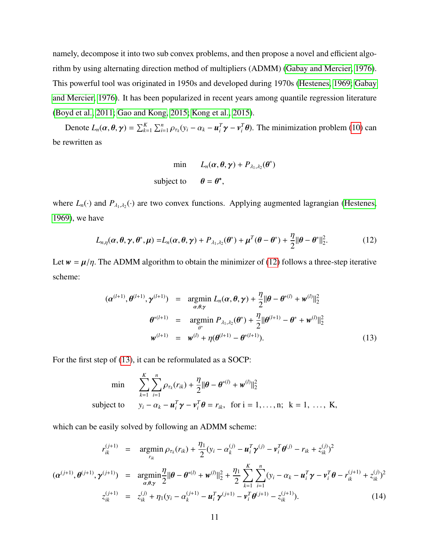namely, decompose it into two sub convex problems, and then propose a novel and efficient algorithm by using alternating direction method of multipliers (ADMM) [\(Gabay and Mercier, 1976\)](#page-31-7). This powerful tool was originated in 1950s and developed during 1970s [\(Hestenes, 1969;](#page-31-8) [Gabay](#page-31-7) [and Mercier, 1976\)](#page-31-7). It has been popularized in recent years among quantile regression literature [\(Boyd et al., 2011;](#page-30-5) [Gao and Kong, 2015;](#page-31-9) [Kong et al., 2015\)](#page-32-8).

Denote  $L_n(\alpha, \theta, \gamma) = \sum_{k=1}^K \sum_{i=1}^n$  $\sum_{i=1}^{n} \rho_{\tau_k} (y_i - \alpha_k - \boldsymbol{u}_i^T \boldsymbol{\gamma} - \boldsymbol{v}_i^T \boldsymbol{\theta})$ . The minimization problem [\(10\)](#page-6-0) can be rewritten as

min 
$$
L_n(\alpha, \theta, \gamma) + P_{\lambda_1, \lambda_2}(\theta^*)
$$
  
subject to  $\theta = \theta^*$ ,

where  $L_n(\cdot)$  and  $P_{\lambda_1,\lambda_2}(\cdot)$  are two convex functions. Applying augmented lagrangian [\(Hestenes,](#page-31-8) [1969\)](#page-31-8), we have

<span id="page-10-0"></span>
$$
L_{n,\eta}(\alpha,\theta,\gamma,\theta^*,\mu) = L_n(\alpha,\theta,\gamma) + P_{\lambda_1,\lambda_2}(\theta^*) + \mu^T(\theta-\theta^*) + \frac{\eta}{2} \|\theta-\theta^*\|_2^2.
$$
 (12)

Let  $w = \mu/\eta$ . The ADMM algorithm to obtain the minimizer of [\(12\)](#page-10-0) follows a three-step iterative scheme:

<span id="page-10-1"></span>
$$
(\alpha^{(l+1)}, \theta^{(l+1)}, \gamma^{(l+1)}) = \underset{\alpha, \theta, \gamma}{\text{argmin}} L_n(\alpha, \theta, \gamma) + \frac{\eta}{2} ||\theta - \theta^{*(l)} + w^{(l)}||_2^2
$$

$$
\theta^{*(l+1)} = \underset{\theta^*}{\text{argmin}} P_{\lambda_1, \lambda_2}(\theta^*) + \frac{\eta}{2} ||\theta^{(l+1)} - \theta^* + w^{(l)}||_2^2
$$

$$
w^{(l+1)} = w^{(l)} + \eta(\theta^{(l+1)} - \theta^{*(l+1)}).
$$
(13)

For the first step of [\(13\)](#page-10-1), it can be reformulated as a SOCP:

min 
$$
\sum_{k=1}^{K} \sum_{i=1}^{n} \rho_{\tau_k}(r_{ik}) + \frac{\eta}{2} ||\boldsymbol{\theta} - \boldsymbol{\theta}^{*(l)} + \boldsymbol{w}^{(l)}||_2^2
$$
  
subject to 
$$
y_i - \alpha_k - \boldsymbol{u}_i^T \boldsymbol{\gamma} - \boldsymbol{v}_i^T \boldsymbol{\theta} = r_{ik}, \text{ for } i = 1, ..., n; \ k = 1, ..., K,
$$

which can be easily solved by following an ADMM scheme:

<span id="page-10-2"></span>
$$
r_{ik}^{(j+1)} = \underset{r_{ik}}{\operatorname{argmin}} \rho_{\tau_k}(r_{ik}) + \frac{\eta_1}{2} (y_i - \alpha_k^{(j)} - \mathbf{u}_i^T \mathbf{y}^{(j)} - \mathbf{v}_i^T \boldsymbol{\theta}^{(j)} - r_{ik} + z_{ik}^{(j)})^2
$$

$$
(\alpha^{(j+1)}, \theta^{(j+1)}, \mathbf{y}^{(j+1)}) = \underset{\alpha, \theta, \gamma}{\operatorname{argmin}} \frac{\eta}{2} ||\theta - \theta^{*(l)} + \mathbf{w}^{(l)}||_2^2 + \frac{\eta_1}{2} \sum_{k=1}^K \sum_{i=1}^n (y_i - \alpha_k - \mathbf{u}_i^T \mathbf{y} - \mathbf{v}_i^T \boldsymbol{\theta} - r_{ik}^{(j+1)} + z_{ik}^{(j)})^2
$$

$$
z_{ik}^{(j+1)} = z_{ik}^{(j)} + \eta_1 (y_i - \alpha_k^{(j+1)} - \mathbf{u}_i^T \mathbf{y}^{(j+1)} - \mathbf{v}_i^T \boldsymbol{\theta}^{(j+1)} - z_{ik}^{(j+1)}).
$$
(14)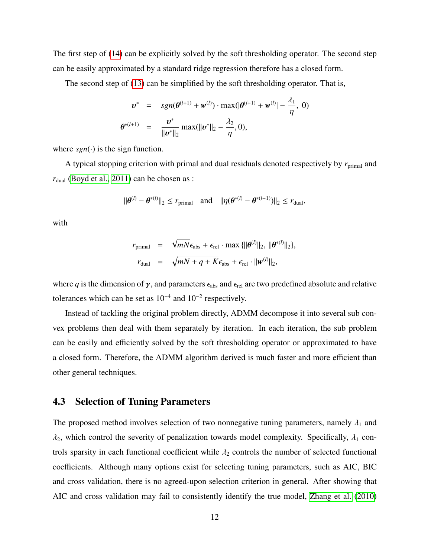The first step of [\(14\)](#page-10-2) can be explicitly solved by the soft thresholding operator. The second step can be easily approximated by a standard ridge regression therefore has a closed form.

The second step of [\(13\)](#page-10-1) can be simplified by the soft thresholding operator. That is,

$$
\mathbf{v}^* = sgn(\theta^{(l+1)} + \mathbf{w}^{(l)}) \cdot \max(|\theta^{(l+1)} + \mathbf{w}^{(l)}| - \frac{\lambda_1}{\eta}, 0)
$$

$$
\theta^{*(l+1)} = \frac{\mathbf{v}^*}{\|\mathbf{v}^*\|_2} \max(||\mathbf{v}^*||_2 - \frac{\lambda_2}{\eta}, 0),
$$

where  $sgn(\cdot)$  is the sign function.

A typical stopping criterion with primal and dual residuals denoted respectively by  $r_{\text{primal}}$  and  $r_{\text{dual}}$  [\(Boyd et al., 2011\)](#page-30-5) can be chosen as :

$$
\|\boldsymbol{\theta}^{(l)}-\boldsymbol{\theta}^{*(l)}\|_2\leq r_{\text{primal}}\quad\text{and}\quad\|\eta(\boldsymbol{\theta}^{*(l)}-\boldsymbol{\theta}^{*(l-1)})\|_2\leq r_{\text{dual}},
$$

with

$$
r_{\text{primal}} = \sqrt{mN} \epsilon_{\text{abs}} + \epsilon_{\text{rel}} \cdot \max \{ ||\boldsymbol{\theta}^{(l)}||_2, ||\boldsymbol{\theta}^{*(l)}||_2 \},
$$
  

$$
r_{\text{dual}} = \sqrt{mN + q + K} \epsilon_{\text{abs}} + \epsilon_{\text{rel}} \cdot ||\boldsymbol{w}^{(l)}||_2,
$$

where *q* is the dimension of  $\gamma$ , and parameters  $\epsilon_{\text{abs}}$  and  $\epsilon_{\text{rel}}$  are two predefined absolute and relative tolerances which can be set as  $10^{-4}$  and  $10^{-2}$  respectively.

Instead of tackling the original problem directly, ADMM decompose it into several sub convex problems then deal with them separately by iteration. In each iteration, the sub problem can be easily and efficiently solved by the soft thresholding operator or approximated to have a closed form. Therefore, the ADMM algorithm derived is much faster and more efficient than other general techniques.

#### 4.3 Selection of Tuning Parameters

The proposed method involves selection of two nonnegative tuning parameters, namely  $\lambda_1$  and  $\lambda_2$ , which control the severity of penalization towards model complexity. Specifically,  $\lambda_1$  controls sparsity in each functional coefficient while  $\lambda_2$  controls the number of selected functional coefficients. Although many options exist for selecting tuning parameters, such as AIC, BIC and cross validation, there is no agreed-upon selection criterion in general. After showing that AIC and cross validation may fail to consistently identify the true model, [Zhang et al.](#page-34-8) [\(2010\)](#page-34-8)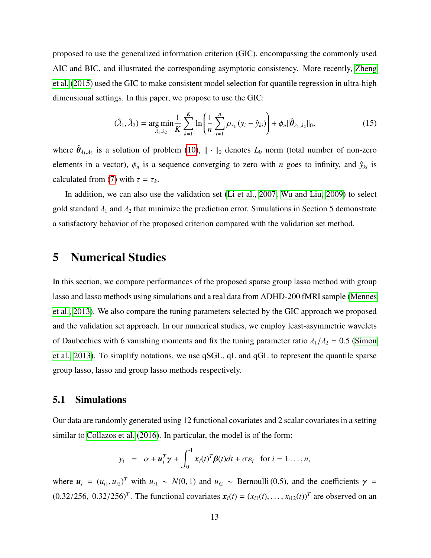proposed to use the generalized information criterion (GIC), encompassing the commonly used AIC and BIC, and illustrated the corresponding asymptotic consistency. More recently, [Zheng](#page-34-9) [et al.](#page-34-9) [\(2015\)](#page-34-9) used the GIC to make consistent model selection for quantile regression in ultra-high dimensional settings. In this paper, we propose to use the GIC:

$$
(\hat{\lambda}_1, \hat{\lambda}_2) = \underset{\lambda_1, \lambda_2}{\arg \min} \frac{1}{K} \sum_{k=1}^K \ln \left( \frac{1}{n} \sum_{i=1}^n \rho_{\tau_k} (y_i - \hat{y}_{ki}) \right) + \phi_n ||\hat{\theta}_{\lambda_1, \lambda_2}||_0, \tag{15}
$$

where  $\hat{\theta}_{\lambda_1,\lambda_2}$  is a solution of problem [\(10\)](#page-6-0),  $\|\cdot\|_0$  denotes  $L_0$  norm (total number of non-zero elements in a vector),  $\phi_n$  is a sequence converging to zero with *n* goes to infinity, and  $\hat{y}_{ki}$  is calculated from [\(7\)](#page-5-0) with  $\tau = \tau_k$ .

In addition, we can also use the validation set [\(Li et al., 2007,](#page-32-9) [Wu and Liu, 2009\)](#page-34-7) to select gold standard  $\lambda_1$  and  $\lambda_2$  that minimize the prediction error. Simulations in Section 5 demonstrate a satisfactory behavior of the proposed criterion compared with the validation set method.

# 5 Numerical Studies

In this section, we compare performances of the proposed sparse group lasso method with group lasso and lasso methods using simulations and a real data from ADHD-200 fMRI sample [\(Mennes](#page-33-6) [et al., 2013\)](#page-33-6). We also compare the tuning parameters selected by the GIC approach we proposed and the validation set approach. In our numerical studies, we employ least-asymmetric wavelets of Daubechies with 6 vanishing moments and fix the tuning parameter ratio  $\lambda_1/\lambda_2 = 0.5$  [\(Simon](#page-33-5) [et al., 2013\)](#page-33-5). To simplify notations, we use qSGL, qL and qGL to represent the quantile sparse group lasso, lasso and group lasso methods respectively.

#### 5.1 Simulations

Our data are randomly generated using 12 functional covariates and 2 scalar covariates in a setting similar to [Collazos et al.](#page-31-10) [\(2016\)](#page-31-10). In particular, the model is of the form:

$$
y_i = \alpha + \boldsymbol{u}_i^T \boldsymbol{\gamma} + \int_0^1 \boldsymbol{x}_i(t)^T \boldsymbol{\beta}(t) dt + \sigma \boldsymbol{\varepsilon}_i \text{ for } i = 1 \ldots, n,
$$

where  $u_i = (u_{i1}, u_{i2})^T$  with  $u_{i1} \sim N(0, 1)$  and  $u_{i2} \sim$  Bernoulli (0.5), and the coefficients  $\gamma =$  $(0.32/256, 0.32/256)^T$ . The functional covariates  $x_i(t) = (x_{i1}(t), ..., x_{i12}(t))^T$  are observed on an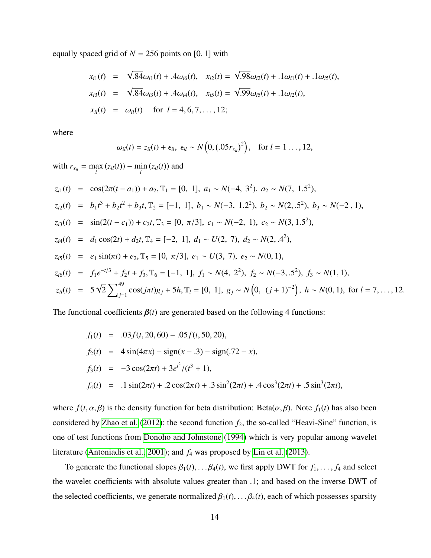equally spaced grid of  $N = 256$  points on [0, 1] with

$$
x_{i1}(t) = \sqrt{.84} \omega_{i1}(t) + .4 \omega_{i6}(t), \quad x_{i2}(t) = \sqrt{.98} \omega_{i2}(t) + .1 \omega_{i1}(t) + .1 \omega_{i5}(t),
$$
  
\n
$$
x_{i3}(t) = \sqrt{.84} \omega_{i3}(t) + .4 \omega_{i4}(t), \quad x_{i5}(t) = \sqrt{.99} \omega_{i5}(t) + .1 \omega_{i2}(t),
$$
  
\n
$$
x_{i1}(t) = \omega_{i1}(t) \quad \text{for } l = 4, 6, 7, ..., 12;
$$

where

$$
\omega_{il}(t)=z_{il}(t)+\epsilon_{il},\ \epsilon_{il}\sim N\left(0,(.05r_{x_{il}})^2\right),\ \ \text{for}\ l=1\ldots,12,
$$

with  $r_{x_{il}} = \max_{i} (z_{il}(t)) - \min_{i} (z_{il}(t))$  and

$$
z_{i1}(t) = \cos(2\pi(t - a_1)) + a_2, \mathbb{T}_1 = [0, 1], a_1 \sim N(-4, 3^2), a_2 \sim N(7, 1.5^2),
$$
  
\n
$$
z_{i2}(t) = b_1 t^3 + b_2 t^2 + b_3 t, \mathbb{T}_2 = [-1, 1], b_1 \sim N(-3, 1.2^2), b_2 \sim N(2, 5^2), b_3 \sim N(-2, 1),
$$
  
\n
$$
z_{i3}(t) = \sin(2(t - c_1)) + c_2 t, \mathbb{T}_3 = [0, \pi/3], c_1 \sim N(-2, 1), c_2 \sim N(3, 1.5^2),
$$
  
\n
$$
z_{i4}(t) = d_1 \cos(2t) + d_2 t, \mathbb{T}_4 = [-2, 1], d_1 \sim U(2, 7), d_2 \sim N(2, 4^2),
$$
  
\n
$$
z_{i5}(t) = e_1 \sin(\pi t) + e_2, \mathbb{T}_5 = [0, \pi/3], e_1 \sim U(3, 7), e_2 \sim N(0, 1),
$$
  
\n
$$
z_{i6}(t) = f_1 e^{-t/3} + f_2 t + f_3, \mathbb{T}_6 = [-1, 1], f_1 \sim N(4, 2^2), f_2 \sim N(-3, 5^2), f_3 \sim N(1, 1),
$$
  
\n
$$
z_{i1}(t) = 5\sqrt{2} \sum_{j=1}^{49} \cos(j\pi t)g_j + 5h, \mathbb{T}_l = [0, 1], g_j \sim N(0, (j + 1)^{-2}), h \sim N(0, 1), \text{ for } l = 7, ..., 12.
$$

The functional coefficients  $\beta(t)$  are generated based on the following 4 functions:

$$
f_1(t) = .03f(t, 20, 60) - .05f(t, 50, 20),
$$
  
\n
$$
f_2(t) = 4\sin(4\pi x) - \text{sign}(x - .3) - \text{sign}(.72 - x),
$$
  
\n
$$
f_3(t) = -3\cos(2\pi t) + 3e^{t^2}/(t^3 + 1),
$$
  
\n
$$
f_4(t) = .1\sin(2\pi t) + .2\cos(2\pi t) + .3\sin^2(2\pi t) + .4\cos^3(2\pi t) + .5\sin^3(2\pi t),
$$

where  $f(t, \alpha, \beta)$  is the density function for beta distribution: Beta $(\alpha, \beta)$ . Note  $f_1(t)$  has also been considered by [Zhao et al.](#page-34-1) [\(2012\)](#page-34-1); the second function  $f_2$ , the so-called "Heavi-Sine" function, is one of test functions from [Donoho and Johnstone](#page-31-11) [\(1994\)](#page-31-11) which is very popular among wavelet literature [\(Antoniadis et al., 2001\)](#page-30-6); and *f*<sup>4</sup> was proposed by [Lin et al.](#page-32-10) [\(2013\)](#page-32-10).

To generate the functional slopes  $\beta_1(t), \ldots, \beta_4(t)$ , we first apply DWT for  $f_1, \ldots, f_4$  and select the wavelet coefficients with absolute values greater than .1; and based on the inverse DWT of the selected coefficients, we generate normalized  $\beta_1(t), \ldots, \beta_4(t)$ , each of which possesses sparsity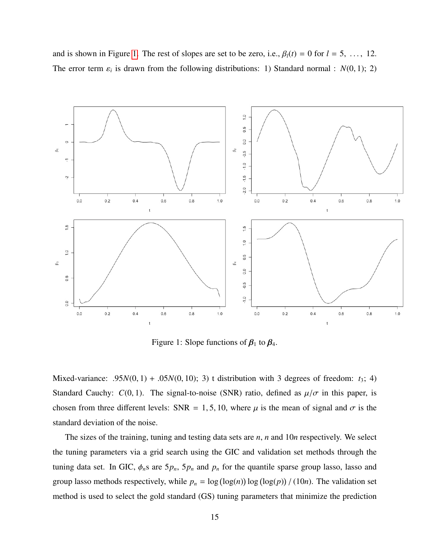and is shown in Figure [1.](#page-14-0) The rest of slopes are set to be zero, i.e.,  $\beta_l(t) = 0$  for  $l = 5, \ldots, 12$ . The error term  $\varepsilon_i$  is drawn from the following distributions: 1) Standard normal :  $N(0, 1)$ ; 2)

<span id="page-14-0"></span>

Figure 1: Slope functions of  $\beta_1$  to  $\beta_4$ .

Mixed-variance:  $.95N(0, 1) + .05N(0, 10)$ ; 3) t distribution with 3 degrees of freedom:  $t_3$ ; 4) Standard Cauchy:  $C(0, 1)$ . The signal-to-noise (SNR) ratio, defined as  $\mu/\sigma$  in this paper, is chosen from three different levels: SNR = 1, 5, 10, where  $\mu$  is the mean of signal and  $\sigma$  is the standard deviation of the noise.

The sizes of the training, tuning and testing data sets are *n*, *n* and 10*n* respectively. We select the tuning parameters via a grid search using the GIC and validation set methods through the tuning data set. In GIC,  $\phi_n$ s are  $5p_n$ ,  $5p_n$  and  $p_n$  for the quantile sparse group lasso, lasso and group lasso methods respectively, while  $p_n = \log(\log(n)) \log(\log(p)) / (10n)$ . The validation set method is used to select the gold standard (GS) tuning parameters that minimize the prediction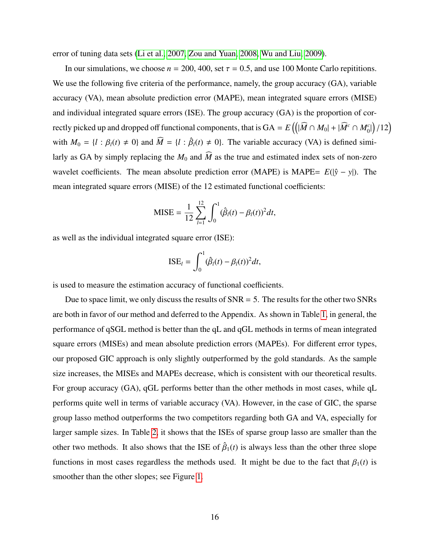error of tuning data sets [\(Li et al., 2007,](#page-32-9) [Zou and Yuan, 2008,](#page-35-0) [Wu and Liu, 2009\)](#page-34-7).

In our simulations, we choose  $n = 200, 400$ , set  $\tau = 0.5$ , and use 100 Monte Carlo repititions. We use the following five criteria of the performance, namely, the group accuracy (GA), variable accuracy (VA), mean absolute prediction error (MAPE), mean integrated square errors (MISE) and individual integrated square errors (ISE). The group accuracy (GA) is the proportion of correctly picked up and dropped off functional components, that is  $GA = E((|\widehat{M} \cap M_0| + |\widehat{M}^c \cap M_0^c|)/12)$ with  $M_0 = \{l : \beta_l(t) \neq 0\}$  and  $\widehat{M} = \{l : \widehat{\beta}_l(t) \neq 0\}$ . The variable accuracy (VA) is defined similarly as GA by simply replacing the  $M_0$  and  $\widehat{M}$  as the true and estimated index sets of non-zero wavelet coefficients. The mean absolute prediction error (MAPE) is MAPE=  $E(|\hat{y} - y|)$ . The mean integrated square errors (MISE) of the 12 estimated functional coefficients:

$$
MISE = \frac{1}{12} \sum_{l=1}^{12} \int_0^1 (\hat{\beta}_l(t) - \beta_l(t))^2 dt,
$$

as well as the individual integrated square error (ISE):

$$
ISE_l = \int_0^1 (\hat{\beta}_l(t) - \beta_l(t))^2 dt,
$$

is used to measure the estimation accuracy of functional coefficients.

Due to space limit, we only discuss the results of  $SNR = 5$ . The results for the other two SNRs are both in favor of our method and deferred to the Appendix. As shown in Table [1,](#page-16-0) in general, the performance of qSGL method is better than the qL and qGL methods in terms of mean integrated square errors (MISEs) and mean absolute prediction errors (MAPEs). For different error types, our proposed GIC approach is only slightly outperformed by the gold standards. As the sample size increases, the MISEs and MAPEs decrease, which is consistent with our theoretical results. For group accuracy (GA), qGL performs better than the other methods in most cases, while qL performs quite well in terms of variable accuracy (VA). However, in the case of GIC, the sparse group lasso method outperforms the two competitors regarding both GA and VA, especially for larger sample sizes. In Table [2,](#page-17-0) it shows that the ISEs of sparse group lasso are smaller than the other two methods. It also shows that the ISE of  $\hat{\beta}_1(t)$  is always less than the other three slope functions in most cases regardless the methods used. It might be due to the fact that  $\beta_1(t)$  is smoother than the other slopes; see Figure [1.](#page-14-0)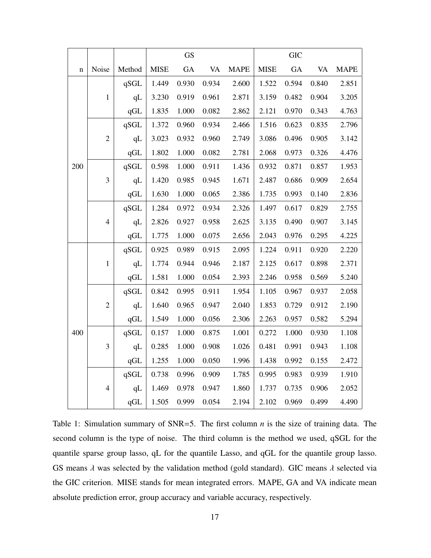<span id="page-16-0"></span>

|             |                |        |             | GS    |           |             |             | <b>GIC</b> |           |             |
|-------------|----------------|--------|-------------|-------|-----------|-------------|-------------|------------|-----------|-------------|
| $\mathbf n$ | Noise          | Method | <b>MISE</b> | GA    | <b>VA</b> | <b>MAPE</b> | <b>MISE</b> | GA         | <b>VA</b> | <b>MAPE</b> |
|             |                | qSGL   | 1.449       | 0.930 | 0.934     | 2.600       | 1.522       | 0.594      | 0.840     | 2.851       |
|             | $\mathbf 1$    | qL     | 3.230       | 0.919 | 0.961     | 2.871       | 3.159       | 0.482      | 0.904     | 3.205       |
|             |                | qGL    | 1.835       | 1.000 | 0.082     | 2.862       | 2.121       | 0.970      | 0.343     | 4.763       |
|             |                | qSGL   | 1.372       | 0.960 | 0.934     | 2.466       | 1.516       | 0.623      | 0.835     | 2.796       |
|             | $\overline{c}$ | qL     | 3.023       | 0.932 | 0.960     | 2.749       | 3.086       | 0.496      | 0.905     | 3.142       |
|             |                | qGL    | 1.802       | 1.000 | 0.082     | 2.781       | 2.068       | 0.973      | 0.326     | 4.476       |
| 200         |                | qSGL   | 0.598       | 1.000 | 0.911     | 1.436       | 0.932       | 0.871      | 0.857     | 1.953       |
|             | $\mathfrak{Z}$ | qL     | 1.420       | 0.985 | 0.945     | 1.671       | 2.487       | 0.686      | 0.909     | 2.654       |
|             |                | qGL    | 1.630       | 1.000 | 0.065     | 2.386       | 1.735       | 0.993      | 0.140     | 2.836       |
|             | $\overline{4}$ | qSGL   | 1.284       | 0.972 | 0.934     | 2.326       | 1.497       | 0.617      | 0.829     | 2.755       |
|             |                | qL     | 2.826       | 0.927 | 0.958     | 2.625       | 3.135       | 0.490      | 0.907     | 3.145       |
|             |                | qGL    | 1.775       | 1.000 | 0.075     | 2.656       | 2.043       | 0.976      | 0.295     | 4.225       |
|             |                | qSGL   | 0.925       | 0.989 | 0.915     | 2.095       | 1.224       | 0.911      | 0.920     | 2.220       |
|             | $\mathbf 1$    | qL     | 1.774       | 0.944 | 0.946     | 2.187       | 2.125       | 0.617      | 0.898     | 2.371       |
|             |                | qGL    | 1.581       | 1.000 | 0.054     | 2.393       | 2.246       | 0.958      | 0.569     | 5.240       |
|             |                | qSGL   | 0.842       | 0.995 | 0.911     | 1.954       | 1.105       | 0.967      | 0.937     | 2.058       |
|             | $\overline{c}$ | qL     | 1.640       | 0.965 | 0.947     | 2.040       | 1.853       | 0.729      | 0.912     | 2.190       |
|             |                | qGL    | 1.549       | 1.000 | 0.056     | 2.306       | 2.263       | 0.957      | 0.582     | 5.294       |
| 400         |                | qSGL   | 0.157       | 1.000 | 0.875     | 1.001       | 0.272       | 1.000      | 0.930     | 1.108       |
|             | 3              | qL     | 0.285       | 1.000 | 0.908     | 1.026       | 0.481       | 0.991      | 0.943     | 1.108       |
|             |                | qGL    | 1.255       | 1.000 | 0.050     | 1.996       | 1.438       | 0.992      | 0.155     | 2.472       |
|             |                | qSGL   | 0.738       | 0.996 | 0.909     | 1.785       | 0.995       | 0.983      | 0.939     | 1.910       |
|             | $\overline{4}$ | qL     | 1.469       | 0.978 | 0.947     | 1.860       | 1.737       | 0.735      | 0.906     | 2.052       |
|             |                | qGL    | 1.505       | 0.999 | 0.054     | 2.194       | 2.102       | 0.969      | 0.499     | 4.490       |

Table 1: Simulation summary of SNR=5. The first column *n* is the size of training data. The second column is the type of noise. The third column is the method we used, qSGL for the quantile sparse group lasso, qL for the quantile Lasso, and qGL for the quantile group lasso. GS means  $\lambda$  was selected by the validation method (gold standard). GIC means  $\lambda$  selected via the GIC criterion. MISE stands for mean integrated errors. MAPE, GA and VA indicate mean absolute prediction error, group accuracy and variable accuracy, respectively.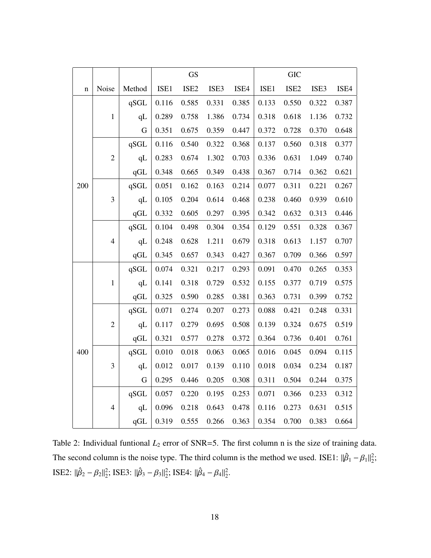<span id="page-17-0"></span>

|             |                         |        |       | <b>GS</b>        |       |       |       | <b>GIC</b>       |       |       |
|-------------|-------------------------|--------|-------|------------------|-------|-------|-------|------------------|-------|-------|
| $\mathbf n$ | Noise                   | Method | ISE1  | ISE <sub>2</sub> | ISE3  | ISE4  | ISE1  | ISE <sub>2</sub> | ISE3  | ISE4  |
|             |                         | qSGL   | 0.116 | 0.585            | 0.331 | 0.385 | 0.133 | 0.550            | 0.322 | 0.387 |
|             | $\mathbf 1$             | qL     | 0.289 | 0.758            | 1.386 | 0.734 | 0.318 | 0.618            | 1.136 | 0.732 |
|             |                         | G      | 0.351 | 0.675            | 0.359 | 0.447 | 0.372 | 0.728            | 0.370 | 0.648 |
|             |                         | qSGL   | 0.116 | 0.540            | 0.322 | 0.368 | 0.137 | 0.560            | 0.318 | 0.377 |
|             | $\overline{c}$          | qL     | 0.283 | 0.674            | 1.302 | 0.703 | 0.336 | 0.631            | 1.049 | 0.740 |
|             |                         | qGL    | 0.348 | 0.665            | 0.349 | 0.438 | 0.367 | 0.714            | 0.362 | 0.621 |
| 200         |                         | qSGL   | 0.051 | 0.162            | 0.163 | 0.214 | 0.077 | 0.311            | 0.221 | 0.267 |
|             | $\overline{\mathbf{3}}$ | qL     | 0.105 | 0.204            | 0.614 | 0.468 | 0.238 | 0.460            | 0.939 | 0.610 |
|             |                         | qGL    | 0.332 | 0.605            | 0.297 | 0.395 | 0.342 | 0.632            | 0.313 | 0.446 |
|             | $\overline{4}$          | qSGL   | 0.104 | 0.498            | 0.304 | 0.354 | 0.129 | 0.551            | 0.328 | 0.367 |
|             |                         | qL     | 0.248 | 0.628            | 1.211 | 0.679 | 0.318 | 0.613            | 1.157 | 0.707 |
|             |                         | qGL    | 0.345 | 0.657            | 0.343 | 0.427 | 0.367 | 0.709            | 0.366 | 0.597 |
|             |                         | qSGL   | 0.074 | 0.321            | 0.217 | 0.293 | 0.091 | 0.470            | 0.265 | 0.353 |
|             | $\mathbf{1}$            | qL     | 0.141 | 0.318            | 0.729 | 0.532 | 0.155 | 0.377            | 0.719 | 0.575 |
|             |                         | qGL    | 0.325 | 0.590            | 0.285 | 0.381 | 0.363 | 0.731            | 0.399 | 0.752 |
|             |                         | qSGL   | 0.071 | 0.274            | 0.207 | 0.273 | 0.088 | 0.421            | 0.248 | 0.331 |
|             | $\overline{c}$          | qL     | 0.117 | 0.279            | 0.695 | 0.508 | 0.139 | 0.324            | 0.675 | 0.519 |
|             |                         | qGL    | 0.321 | 0.577            | 0.278 | 0.372 | 0.364 | 0.736            | 0.401 | 0.761 |
| 400         |                         | qSGL   | 0.010 | 0.018            | 0.063 | 0.065 | 0.016 | 0.045            | 0.094 | 0.115 |
|             | 3                       | qL     | 0.012 | 0.017            | 0.139 | 0.110 | 0.018 | 0.034            | 0.234 | 0.187 |
|             |                         | G      | 0.295 | 0.446            | 0.205 | 0.308 | 0.311 | 0.504            | 0.244 | 0.375 |
|             |                         | qSGL   | 0.057 | 0.220            | 0.195 | 0.253 | 0.071 | 0.366            | 0.233 | 0.312 |
|             | $\overline{4}$          | qL     | 0.096 | 0.218            | 0.643 | 0.478 | 0.116 | 0.273            | 0.631 | 0.515 |
|             |                         | qGL    | 0.319 | 0.555            | 0.266 | 0.363 | 0.354 | 0.700            | 0.383 | 0.664 |

Table 2: Individual funtional  $L_2$  error of SNR=5. The first column n is the size of training data. The second column is the noise type. The third column is the method we used. ISE1:  $\|\hat{\beta}_1 - \beta_1\|_2^2$ ; ISE2:  $\|\hat{\beta}_2 - \beta_2\|_2^2$ ; ISE3:  $\|\hat{\beta}_3 - \beta_3\|_2^2$ ; ISE4:  $\|\hat{\beta}_4 - \beta_4\|_2^2$ .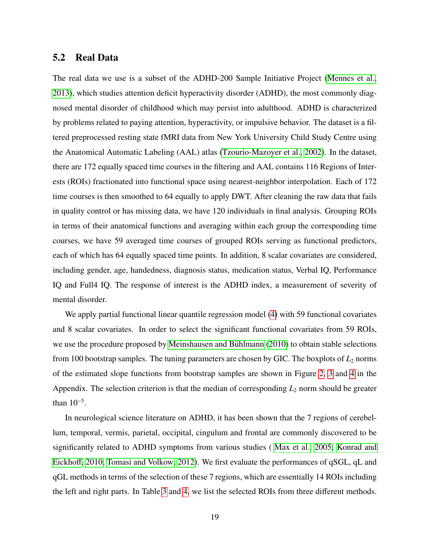### 5.2 Real Data

The real data we use is a subset of the ADHD-200 Sample Initiative Project [\(Mennes et al.,](#page-33-6) [2013\)](#page-33-6), which studies attention deficit hyperactivity disorder (ADHD), the most commonly diagnosed mental disorder of childhood which may persist into adulthood. ADHD is characterized by problems related to paying attention, hyperactivity, or impulsive behavior. The dataset is a filtered preprocessed resting state fMRI data from New York University Child Study Centre using the Anatomical Automatic Labeling (AAL) atlas [\(Tzourio-Mazoyer et al., 2002\)](#page-34-10). In the dataset, there are 172 equally spaced time courses in the filtering and AAL contains 116 Regions of Interests (ROIs) fractionated into functional space using nearest-neighbor interpolation. Each of 172 time courses is then smoothed to 64 equally to apply DWT. After cleaning the raw data that fails in quality control or has missing data, we have 120 individuals in final analysis. Grouping ROIs in terms of their anatomical functions and averaging within each group the corresponding time courses, we have 59 averaged time courses of grouped ROIs serving as functional predictors, each of which has 64 equally spaced time points. In addition, 8 scalar covariates are considered, including gender, age, handedness, diagnosis status, medication status, Verbal IQ, Performance IQ and Full4 IQ. The response of interest is the ADHD index, a measurement of severity of mental disorder.

We apply partial functional linear quantile regression model [\(4\)](#page-2-0) with 59 functional covariates and 8 scalar covariates. In order to select the significant functional covariates from 59 ROIs, we use the procedure proposed by Meinshausen and Bühlmann  $(2010)$  to obtain stable selections from 100 bootstrap samples. The tuning parameters are chosen by GIC. The boxplots of  $L_2$  norms of the estimated slope functions from bootstrap samples are shown in Figure [2,](#page-21-0) [3](#page-26-0) and [4](#page-27-0) in the Appendix. The selection criterion is that the median of corresponding  $L_2$  norm should be greater than  $10^{-5}$ .

In neurological science literature on ADHD, it has been shown that the 7 regions of cerebellum, temporal, vermis, parietal, occipital, cingulum and frontal are commonly discovered to be significantly related to ADHD symptoms from various studies ( [Max et al., 2005;](#page-33-8) [Konrad and](#page-32-11) [Eickho](#page-32-11)ff, [2010;](#page-32-11) [Tomasi and Volkow, 2012\)](#page-34-11). We first evaluate the performances of qSGL, qL and qGL methods in terms of the selection of these 7 regions, which are essentially 14 ROIs including the left and right parts. In Table [3](#page-19-0) and [4,](#page-20-0) we list the selected ROIs from three different methods.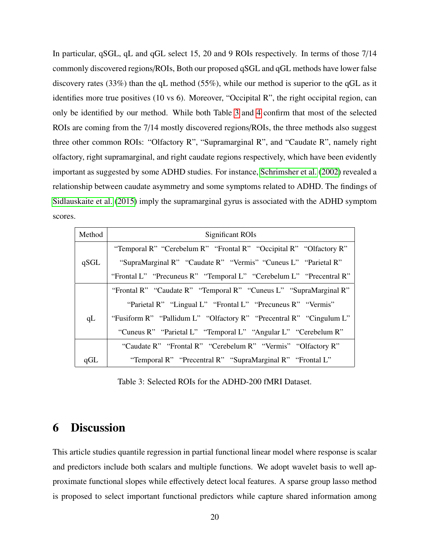In particular, qSGL, qL and qGL select 15, 20 and 9 ROIs respectively. In terms of those 7/14 commonly discovered regions/ROIs, Both our proposed qSGL and qGL methods have lower false discovery rates (33%) than the qL method (55%), while our method is superior to the qGL as it identifies more true positives (10 vs 6). Moreover, "Occipital R", the right occipital region, can only be identified by our method. While both Table [3](#page-19-0) and [4](#page-20-0) confirm that most of the selected ROIs are coming from the 7/14 mostly discovered regions/ROIs, the three methods also suggest three other common ROIs: "Olfactory R", "Supramarginal R", and "Caudate R", namely right olfactory, right supramarginal, and right caudate regions respectively, which have been evidently important as suggested by some ADHD studies. For instance, [Schrimsher et al.](#page-33-9) [\(2002\)](#page-33-9) revealed a relationship between caudate asymmetry and some symptoms related to ADHD. The findings of [Sidlauskaite et al.](#page-33-10) [\(2015\)](#page-33-10) imply the supramarginal gyrus is associated with the ADHD symptom scores.

<span id="page-19-0"></span>

| Method | Significant ROIs                                                    |
|--------|---------------------------------------------------------------------|
|        | "Temporal R" "Cerebelum R" "Frontal R" "Occipital R" "Olfactory R"  |
| qSGL   | "SupraMarginal R" "Caudate R" "Vermis" "Cuneus L" "Parietal R"      |
|        | "Frontal L" "Precuneus R" "Temporal L" "Cerebelum L" "Precentral R" |
|        | "Frontal R" "Caudate R" "Temporal R" "Cuneus L" "SupraMarginal R"   |
|        | "Parietal R" "Lingual L" "Frontal L" "Precuneus R" "Vermis"         |
| qL     | "Fusiform R" "Pallidum L" "Olfactory R" "Precentral R" "Cingulum L" |
|        | "Cuneus R" "Parietal L" "Temporal L" "Angular L" "Cerebelum R"      |
|        | "Caudate R" "Frontal R" "Cerebelum R" "Vermis" "Olfactory R"        |
| qGL    | "Temporal R" "Precentral R" "SupraMarginal R" "Frontal L"           |

Table 3: Selected ROIs for the ADHD-200 fMRI Dataset.

# 6 Discussion

This article studies quantile regression in partial functional linear model where response is scalar and predictors include both scalars and multiple functions. We adopt wavelet basis to well approximate functional slopes while effectively detect local features. A sparse group lasso method is proposed to select important functional predictors while capture shared information among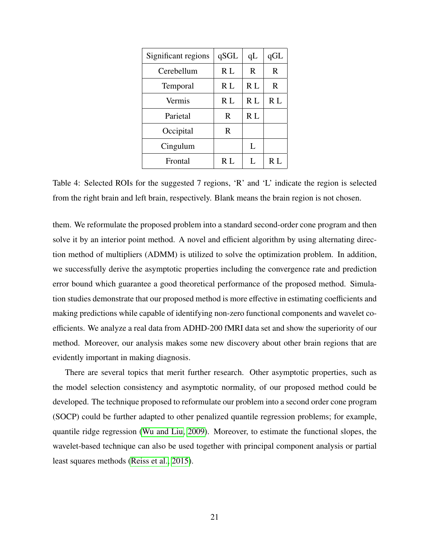<span id="page-20-0"></span>

| Significant regions | qSGL | qL  | qGL |
|---------------------|------|-----|-----|
| Cerebellum          | R L  | R.  | R   |
| <b>Temporal</b>     | R L  | R L | R   |
| Vermis              | R L  | R L | R L |
| Parietal            | R    | R L |     |
| Occipital           | R    |     |     |
| Cingulum            |      | L   |     |
| Frontal             | R L  | L   | R L |

Table 4: Selected ROIs for the suggested 7 regions, 'R' and 'L' indicate the region is selected from the right brain and left brain, respectively. Blank means the brain region is not chosen.

them. We reformulate the proposed problem into a standard second-order cone program and then solve it by an interior point method. A novel and efficient algorithm by using alternating direction method of multipliers (ADMM) is utilized to solve the optimization problem. In addition, we successfully derive the asymptotic properties including the convergence rate and prediction error bound which guarantee a good theoretical performance of the proposed method. Simulation studies demonstrate that our proposed method is more effective in estimating coefficients and making predictions while capable of identifying non-zero functional components and wavelet coefficients. We analyze a real data from ADHD-200 fMRI data set and show the superiority of our method. Moreover, our analysis makes some new discovery about other brain regions that are evidently important in making diagnosis.

There are several topics that merit further research. Other asymptotic properties, such as the model selection consistency and asymptotic normality, of our proposed method could be developed. The technique proposed to reformulate our problem into a second order cone program (SOCP) could be further adapted to other penalized quantile regression problems; for example, quantile ridge regression [\(Wu and Liu, 2009\)](#page-34-7). Moreover, to estimate the functional slopes, the wavelet-based technique can also be used together with principal component analysis or partial least squares methods [\(Reiss et al., 2015\)](#page-33-11).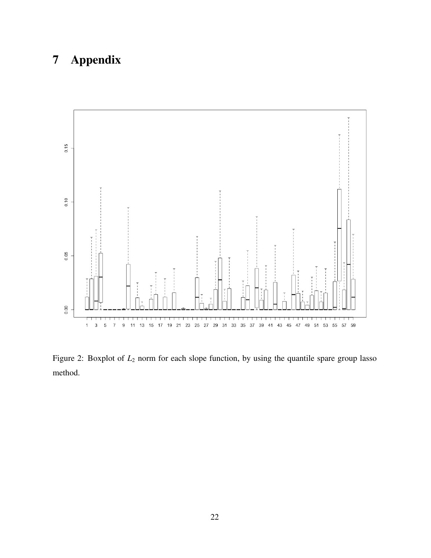# 7 Appendix

<span id="page-21-0"></span>

Figure 2: Boxplot of  $L_2$  norm for each slope function, by using the quantile spare group lasso method.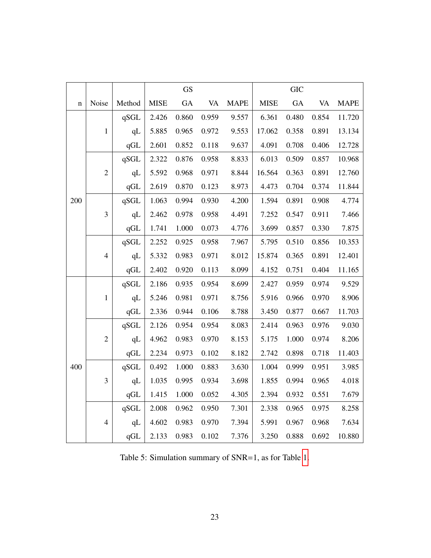|             |                |        |             | <b>GS</b> |           |             |             | <b>GIC</b> |       |             |
|-------------|----------------|--------|-------------|-----------|-----------|-------------|-------------|------------|-------|-------------|
| $\mathbf n$ | Noise          | Method | <b>MISE</b> | GA        | <b>VA</b> | <b>MAPE</b> | <b>MISE</b> | GA         | VA    | <b>MAPE</b> |
|             |                | qSGL   | 2.426       | 0.860     | 0.959     | 9.557       | 6.361       | 0.480      | 0.854 | 11.720      |
|             | $\mathbf{1}$   | qL     | 5.885       | 0.965     | 0.972     | 9.553       | 17.062      | 0.358      | 0.891 | 13.134      |
|             |                | qGL    | 2.601       | 0.852     | 0.118     | 9.637       | 4.091       | 0.708      | 0.406 | 12.728      |
|             |                | qSGL   | 2.322       | 0.876     | 0.958     | 8.833       | 6.013       | 0.509      | 0.857 | 10.968      |
|             | $\overline{c}$ | qL     | 5.592       | 0.968     | 0.971     | 8.844       | 16.564      | 0.363      | 0.891 | 12.760      |
|             |                | qGL    | 2.619       | 0.870     | 0.123     | 8.973       | 4.473       | 0.704      | 0.374 | 11.844      |
| 200         |                | qSGL   | 1.063       | 0.994     | 0.930     | 4.200       | 1.594       | 0.891      | 0.908 | 4.774       |
|             | $\mathfrak{Z}$ | qL     | 2.462       | 0.978     | 0.958     | 4.491       | 7.252       | 0.547      | 0.911 | 7.466       |
|             |                | qGL    | 1.741       | 1.000     | 0.073     | 4.776       | 3.699       | 0.857      | 0.330 | 7.875       |
|             | $\overline{4}$ | qSGL   | 2.252       | 0.925     | 0.958     | 7.967       | 5.795       | 0.510      | 0.856 | 10.353      |
|             |                | qL     | 5.332       | 0.983     | 0.971     | 8.012       | 15.874      | 0.365      | 0.891 | 12.401      |
|             |                | qGL    | 2.402       | 0.920     | 0.113     | 8.099       | 4.152       | 0.751      | 0.404 | 11.165      |
|             |                | qSGL   | 2.186       | 0.935     | 0.954     | 8.699       | 2.427       | 0.959      | 0.974 | 9.529       |
|             | $\mathbf{1}$   | qL     | 5.246       | 0.981     | 0.971     | 8.756       | 5.916       | 0.966      | 0.970 | 8.906       |
|             |                | qGL    | 2.336       | 0.944     | 0.106     | 8.788       | 3.450       | 0.877      | 0.667 | 11.703      |
|             |                | qSGL   | 2.126       | 0.954     | 0.954     | 8.083       | 2.414       | 0.963      | 0.976 | 9.030       |
|             | $\overline{c}$ | qL     | 4.962       | 0.983     | 0.970     | 8.153       | 5.175       | 1.000      | 0.974 | 8.206       |
|             |                | qGL    | 2.234       | 0.973     | 0.102     | 8.182       | 2.742       | 0.898      | 0.718 | 11.403      |
| 400         |                | qSGL   | 0.492       | 1.000     | 0.883     | 3.630       | 1.004       | 0.999      | 0.951 | 3.985       |
|             | 3              | qL     | 1.035       | 0.995     | 0.934     | 3.698       | 1.855       | 0.994      | 0.965 | 4.018       |
|             |                | qGL    | 1.415       | 1.000     | 0.052     | 4.305       | 2.394       | 0.932      | 0.551 | 7.679       |
|             |                | qSGL   | 2.008       | 0.962     | 0.950     | 7.301       | 2.338       | 0.965      | 0.975 | 8.258       |
|             | $\overline{4}$ | qL     | 4.602       | 0.983     | 0.970     | 7.394       | 5.991       | 0.967      | 0.968 | 7.634       |
|             |                | qGL    | 2.133       | 0.983     | 0.102     | 7.376       | 3.250       | 0.888      | 0.692 | 10.880      |

Table 5: Simulation summary of SNR=1, as for Table [1.](#page-16-0)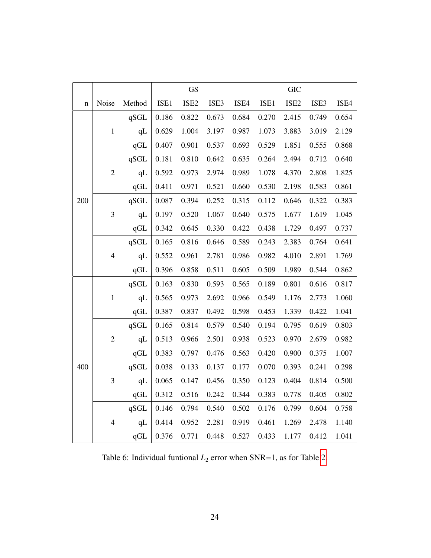|     |                |        |       | GS               |       |       |       | <b>GIC</b>       |       |       |
|-----|----------------|--------|-------|------------------|-------|-------|-------|------------------|-------|-------|
| n   | Noise          | Method | ISE1  | ISE <sub>2</sub> | ISE3  | ISE4  | ISE1  | ISE <sub>2</sub> | ISE3  | ISE4  |
|     |                | qSGL   | 0.186 | 0.822            | 0.673 | 0.684 | 0.270 | 2.415            | 0.749 | 0.654 |
|     | $\,1\,$        | qL     | 0.629 | 1.004            | 3.197 | 0.987 | 1.073 | 3.883            | 3.019 | 2.129 |
|     |                | qGL    | 0.407 | 0.901            | 0.537 | 0.693 | 0.529 | 1.851            | 0.555 | 0.868 |
|     |                | qSGL   | 0.181 | 0.810            | 0.642 | 0.635 | 0.264 | 2.494            | 0.712 | 0.640 |
|     | $\overline{c}$ | qL     | 0.592 | 0.973            | 2.974 | 0.989 | 1.078 | 4.370            | 2.808 | 1.825 |
|     |                | qGL    | 0.411 | 0.971            | 0.521 | 0.660 | 0.530 | 2.198            | 0.583 | 0.861 |
| 200 |                | qSGL   | 0.087 | 0.394            | 0.252 | 0.315 | 0.112 | 0.646            | 0.322 | 0.383 |
|     | $\mathfrak{Z}$ | qL     | 0.197 | 0.520            | 1.067 | 0.640 | 0.575 | 1.677            | 1.619 | 1.045 |
|     |                | qGL    | 0.342 | 0.645            | 0.330 | 0.422 | 0.438 | 1.729            | 0.497 | 0.737 |
|     | $\overline{4}$ | qSGL   | 0.165 | 0.816            | 0.646 | 0.589 | 0.243 | 2.383            | 0.764 | 0.641 |
|     |                | qL     | 0.552 | 0.961            | 2.781 | 0.986 | 0.982 | 4.010            | 2.891 | 1.769 |
|     |                | qGL    | 0.396 | 0.858            | 0.511 | 0.605 | 0.509 | 1.989            | 0.544 | 0.862 |
|     |                | qSGL   | 0.163 | 0.830            | 0.593 | 0.565 | 0.189 | 0.801            | 0.616 | 0.817 |
|     | $\mathbf{1}$   | qL     | 0.565 | 0.973            | 2.692 | 0.966 | 0.549 | 1.176            | 2.773 | 1.060 |
|     |                | qGL    | 0.387 | 0.837            | 0.492 | 0.598 | 0.453 | 1.339            | 0.422 | 1.041 |
|     |                | qSGL   | 0.165 | 0.814            | 0.579 | 0.540 | 0.194 | 0.795            | 0.619 | 0.803 |
|     | $\overline{c}$ | qL     | 0.513 | 0.966            | 2.501 | 0.938 | 0.523 | 0.970            | 2.679 | 0.982 |
|     |                | qGL    | 0.383 | 0.797            | 0.476 | 0.563 | 0.420 | 0.900            | 0.375 | 1.007 |
| 400 |                | qSGL   | 0.038 | 0.133            | 0.137 | 0.177 | 0.070 | 0.393            | 0.241 | 0.298 |
|     | $\mathfrak{Z}$ | qL     | 0.065 | 0.147            | 0.456 | 0.350 | 0.123 | 0.404            | 0.814 | 0.500 |
|     |                | qGL    | 0.312 | 0.516            | 0.242 | 0.344 | 0.383 | 0.778            | 0.405 | 0.802 |
|     |                | qSGL   | 0.146 | 0.794            | 0.540 | 0.502 | 0.176 | 0.799            | 0.604 | 0.758 |
|     | $\overline{4}$ | qL     | 0.414 | 0.952            | 2.281 | 0.919 | 0.461 | 1.269            | 2.478 | 1.140 |
|     |                | qGL    | 0.376 | 0.771            | 0.448 | 0.527 | 0.433 | 1.177            | 0.412 | 1.041 |

Table 6: Individual funtional  $L_2$  error when SNR=1, as for Table [2.](#page-17-0)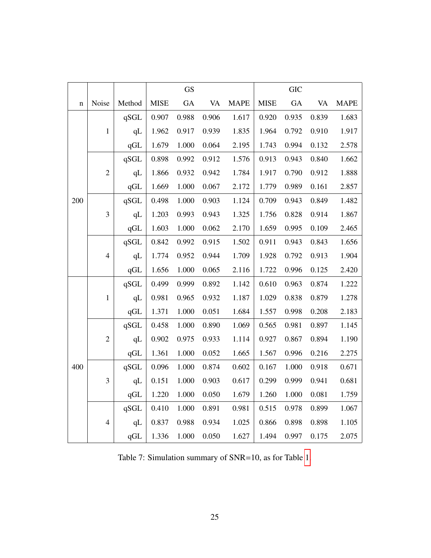|             |                |                       |             | <b>GS</b> |           |             |             | <b>GIC</b> |           |             |
|-------------|----------------|-----------------------|-------------|-----------|-----------|-------------|-------------|------------|-----------|-------------|
| $\mathbf n$ | Noise          | Method                | <b>MISE</b> | GA        | <b>VA</b> | <b>MAPE</b> | <b>MISE</b> | GA         | <b>VA</b> | <b>MAPE</b> |
|             |                | qSGL                  | 0.907       | 0.988     | 0.906     | 1.617       | 0.920       | 0.935      | 0.839     | 1.683       |
|             | $\mathbf 1$    | qL                    | 1.962       | 0.917     | 0.939     | 1.835       | 1.964       | 0.792      | 0.910     | 1.917       |
|             |                | qGL                   | 1.679       | 1.000     | 0.064     | 2.195       | 1.743       | 0.994      | 0.132     | 2.578       |
|             |                | qSGL                  | 0.898       | 0.992     | 0.912     | 1.576       | 0.913       | 0.943      | 0.840     | 1.662       |
|             | $\overline{2}$ | qL                    | 1.866       | 0.932     | 0.942     | 1.784       | 1.917       | 0.790      | 0.912     | 1.888       |
|             |                | qGL                   | 1.669       | 1.000     | 0.067     | 2.172       | 1.779       | 0.989      | 0.161     | 2.857       |
| 200         |                | qSGL                  | 0.498       | 1.000     | 0.903     | 1.124       | 0.709       | 0.943      | 0.849     | 1.482       |
|             | 3              | qL                    | 1.203       | 0.993     | 0.943     | 1.325       | 1.756       | 0.828      | 0.914     | 1.867       |
|             |                | qGL                   | 1.603       | 1.000     | 0.062     | 2.170       | 1.659       | 0.995      | 0.109     | 2.465       |
|             | $\overline{4}$ | qSGL                  | 0.842       | 0.992     | 0.915     | 1.502       | 0.911       | 0.943      | 0.843     | 1.656       |
|             |                | qL                    | 1.774       | 0.952     | 0.944     | 1.709       | 1.928       | 0.792      | 0.913     | 1.904       |
|             |                | qGL                   | 1.656       | 1.000     | 0.065     | 2.116       | 1.722       | 0.996      | 0.125     | 2.420       |
|             | $\mathbf{1}$   | qSGL                  | 0.499       | 0.999     | 0.892     | 1.142       | 0.610       | 0.963      | 0.874     | 1.222       |
|             |                | qL                    | 0.981       | 0.965     | 0.932     | 1.187       | 1.029       | 0.838      | 0.879     | 1.278       |
|             |                | qGL                   | 1.371       | 1.000     | 0.051     | 1.684       | 1.557       | 0.998      | 0.208     | 2.183       |
|             |                | $\operatorname{qSGL}$ | 0.458       | 1.000     | 0.890     | 1.069       | 0.565       | 0.981      | 0.897     | 1.145       |
|             | $\overline{c}$ | qL                    | 0.902       | 0.975     | 0.933     | 1.114       | 0.927       | 0.867      | 0.894     | 1.190       |
|             |                | qGL                   | 1.361       | 1.000     | 0.052     | 1.665       | 1.567       | 0.996      | 0.216     | 2.275       |
| 400         |                | qSGL                  | 0.096       | 1.000     | 0.874     | 0.602       | 0.167       | 1.000      | 0.918     | 0.671       |
|             | 3              | qL                    | 0.151       | 1.000     | 0.903     | 0.617       | 0.299       | 0.999      | 0.941     | 0.681       |
|             |                | qGL                   | 1.220       | 1.000     | 0.050     | 1.679       | 1.260       | 1.000      | 0.081     | 1.759       |
|             |                | qSGL                  | 0.410       | 1.000     | 0.891     | 0.981       | 0.515       | 0.978      | 0.899     | 1.067       |
|             | $\overline{4}$ | qL                    | 0.837       | 0.988     | 0.934     | 1.025       | 0.866       | 0.898      | 0.898     | 1.105       |
|             |                | qGL                   | 1.336       | 1.000     | 0.050     | 1.627       | 1.494       | 0.997      | 0.175     | 2.075       |

Table 7: Simulation summary of SNR=10, as for Table [1.](#page-16-0)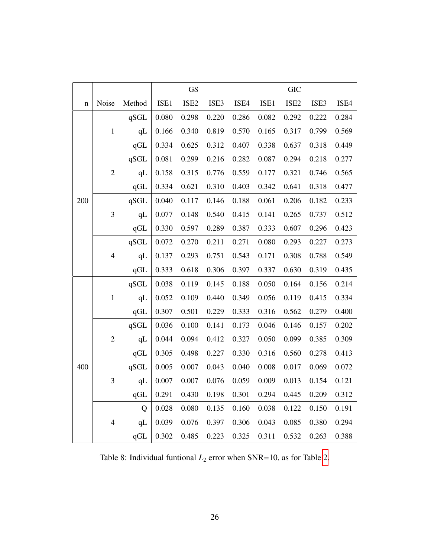|     |                |        |       | <b>GS</b>        |       |       |       | <b>GIC</b>       |       |       |
|-----|----------------|--------|-------|------------------|-------|-------|-------|------------------|-------|-------|
| n   | Noise          | Method | ISE1  | ISE <sub>2</sub> | ISE3  | ISE4  | ISE1  | ISE <sub>2</sub> | ISE3  | ISE4  |
|     |                | qSGL   | 0.080 | 0.298            | 0.220 | 0.286 | 0.082 | 0.292            | 0.222 | 0.284 |
|     | $\mathbf 1$    | qL     | 0.166 | 0.340            | 0.819 | 0.570 | 0.165 | 0.317            | 0.799 | 0.569 |
|     |                | qGL    | 0.334 | 0.625            | 0.312 | 0.407 | 0.338 | 0.637            | 0.318 | 0.449 |
|     |                | qSGL   | 0.081 | 0.299            | 0.216 | 0.282 | 0.087 | 0.294            | 0.218 | 0.277 |
|     | $\overline{c}$ | qL     | 0.158 | 0.315            | 0.776 | 0.559 | 0.177 | 0.321            | 0.746 | 0.565 |
|     |                | qGL    | 0.334 | 0.621            | 0.310 | 0.403 | 0.342 | 0.641            | 0.318 | 0.477 |
| 200 |                | qSGL   | 0.040 | 0.117            | 0.146 | 0.188 | 0.061 | 0.206            | 0.182 | 0.233 |
|     | 3              | qL     | 0.077 | 0.148            | 0.540 | 0.415 | 0.141 | 0.265            | 0.737 | 0.512 |
|     |                | qGL    | 0.330 | 0.597            | 0.289 | 0.387 | 0.333 | 0.607            | 0.296 | 0.423 |
|     | $\overline{4}$ | qSGL   | 0.072 | 0.270            | 0.211 | 0.271 | 0.080 | 0.293            | 0.227 | 0.273 |
|     |                | qL     | 0.137 | 0.293            | 0.751 | 0.543 | 0.171 | 0.308            | 0.788 | 0.549 |
|     |                | qGL    | 0.333 | 0.618            | 0.306 | 0.397 | 0.337 | 0.630            | 0.319 | 0.435 |
|     |                | qSGL   | 0.038 | 0.119            | 0.145 | 0.188 | 0.050 | 0.164            | 0.156 | 0.214 |
|     | $\mathbf{1}$   | qL     | 0.052 | 0.109            | 0.440 | 0.349 | 0.056 | 0.119            | 0.415 | 0.334 |
|     |                | qGL    | 0.307 | 0.501            | 0.229 | 0.333 | 0.316 | 0.562            | 0.279 | 0.400 |
|     |                | qSGL   | 0.036 | 0.100            | 0.141 | 0.173 | 0.046 | 0.146            | 0.157 | 0.202 |
|     | $\overline{c}$ | qL     | 0.044 | 0.094            | 0.412 | 0.327 | 0.050 | 0.099            | 0.385 | 0.309 |
|     |                | qGL    | 0.305 | 0.498            | 0.227 | 0.330 | 0.316 | 0.560            | 0.278 | 0.413 |
| 400 |                | qSGL   | 0.005 | 0.007            | 0.043 | 0.040 | 0.008 | 0.017            | 0.069 | 0.072 |
|     | 3              | qL     | 0.007 | 0.007            | 0.076 | 0.059 | 0.009 | 0.013            | 0.154 | 0.121 |
|     |                | qGL    | 0.291 | 0.430            | 0.198 | 0.301 | 0.294 | 0.445            | 0.209 | 0.312 |
|     |                | Q      | 0.028 | 0.080            | 0.135 | 0.160 | 0.038 | 0.122            | 0.150 | 0.191 |
|     | $\overline{4}$ | qL     | 0.039 | 0.076            | 0.397 | 0.306 | 0.043 | 0.085            | 0.380 | 0.294 |
|     |                | qGL    | 0.302 | 0.485            | 0.223 | 0.325 | 0.311 | 0.532            | 0.263 | 0.388 |

Table 8: Individual funtional  $L_2$  error when SNR=10, as for Table [2.](#page-17-0)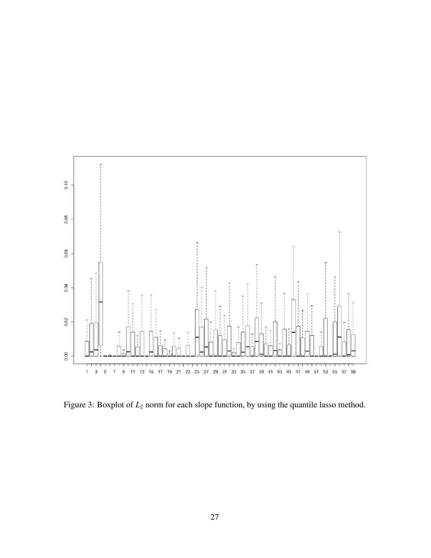<span id="page-26-0"></span>

Figure 3: Boxplot of  $L_2$  norm for each slope function, by using the quantile lasso method.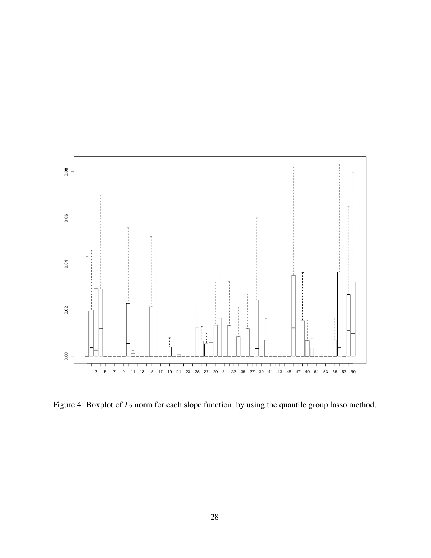<span id="page-27-0"></span>

Figure 4: Boxplot of  $L_2$  norm for each slope function, by using the quantile group lasso method.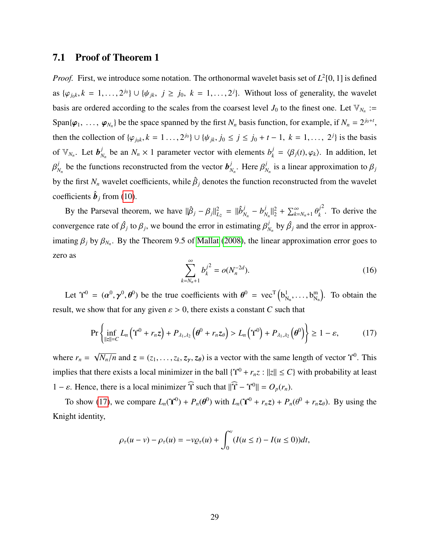#### 7.1 Proof of Theorem 1

*Proof.* First, we introduce some notation. The orthonormal wavelet basis set of  $L^2[0, 1]$  is defined as  $\{\varphi_{j_0k}, k = 1, \ldots, 2^{j_0}\} \cup \{\psi_{jk}, j \ge j_0, k = 1, \ldots, 2^j\}$ . Without loss of generality, the wavelet basis are ordered according to the scales from the coarsest level  $J_0$  to the finest one. Let  $\mathbb{V}_{N_n}$ : Span $\{\varphi_1, \ldots, \varphi_{N_n}\}\$  be the space spanned by the first  $N_n$  basis function, for example, if  $N_n = 2^{j_0+t}$ , then the collection of  $\{\varphi_{j_0 k}, k = 1, ..., 2^{j_0}\} \cup \{\psi_{jk}, j_0 \le j \le j_0 + t - 1, k = 1, ..., 2^j\}$  is the basis of  $\mathbb{V}_{N_n}$ . Let  $\boldsymbol{b}_N^j$  $N_n$  be an  $N_n \times 1$  parameter vector with elements  $b_k^j$  $\mathcal{L}_k^j = \langle \beta_j(t), \varphi_k \rangle$ . In addition, let Γ *j*  $N_n$  be the functions reconstructed from the vector  $b_N^j$  $\beta_N^j$ . Here  $\beta_N^j$  $N_n$  is a linear approximation to  $\beta_j$ by the first  $N_n$  wavelet coefficients, while  $\hat{\beta}_j$  denotes the function reconstructed from the wavelet coefficients  $\hat{\boldsymbol{b}}_j$  from [\(10\)](#page-6-0).

By the Parseval theorem, we have  $||\hat{\beta}_j - \beta_j||_{L_2}^2 = ||\hat{b}_j^j - \hat{b}_j||_{L_2}^2$  $\frac{j}{N_n} - b^j$  $\sum_{k=N_n+1}^{j} \theta_k^2 + \sum_{k=N_n+1}^{\infty} \theta_k^2$ *j k*  $2<sup>2</sup>$ . To derive the convergence rate of  $\hat{\beta}_j$  to  $\beta_j$ , we bound the error in estimating  $\beta^j$  $\hat{B}_{N_n}$  by  $\hat{\beta}_j$  and the error in approximating  $\beta_j$  by  $\beta_{N_n}$ . By the Theorem 9.5 of [Mallat](#page-32-12) [\(2008\)](#page-32-12), the linear approximation error goes to zero as

$$
\sum_{k=N_n+1}^{\infty} b_k^{j^2} = o(N_n^{-2d}).
$$
\n(16)

Let  $\Upsilon^0 = (\alpha^0)$  $\overline{\phantom{a}}$ 0  $\ddot{\phantom{1}}$ <sup>0</sup>) be the true coefficients with  $\theta^0 = \text{vec}^T (b_N^1)$  $N_n$ , ...,  $b_N^m$  $\binom{m}{N_n}$ . To obtain the result, we show that for any given  $\varepsilon > 0$ , there exists a constant *C* such that

<span id="page-28-0"></span>
$$
\Pr\left\{\inf_{\|z\|=C}L_n\left(\Upsilon^0+r_nz\right)+P_{\lambda_1,\lambda_2}\left(\theta^0+r_nz_{\theta}\right)>L_n\left(\Upsilon^0\right)+P_{\lambda_1,\lambda_2}\left(\theta^0\right)\right\}\geq 1-\varepsilon,\tag{17}
$$

where  $r_n =$ √  $\overline{N_n/n}$  and  $z = (z_1, \ldots, z_k, z_\gamma, z_\theta)$  is a vector with the same length of vector  $\Upsilon^0$ . This implies that there exists a local minimizer in the ball  $\{Y^0 + r_n z : ||z|| \le C\}$  with probability at least 1 –  $\varepsilon$ . Hence, there is a local minimizer  $\hat{\Upsilon}$  such that  $\|\hat{\Upsilon} - \Upsilon^0\| = O_p(r_n)$ .

To show [\(17\)](#page-28-0), we compare  $L_n(\Upsilon^0) + P_n(\theta^0)$  with  $L_n(\Upsilon^0 + r_n z) + P_n(\theta^0 + r_n z_\theta)$ . By using the Knight identity,

$$
\rho_{\tau}(u-v) - \rho_{\tau}(u) = -v \varrho_{\tau}(u) + \int_0^v (I(u \le t) - I(u \le 0)) dt,
$$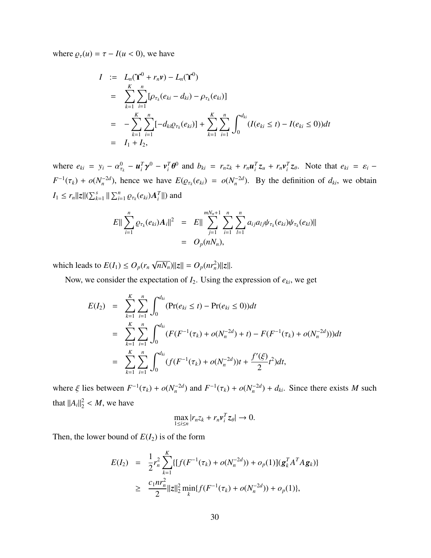where  $\rho_{\tau}(u) = \tau - I(u < 0)$ , we have

$$
I := L_n(\Upsilon^0 + r_n \nu) - L_n(\Upsilon^0)
$$
  
\n
$$
= \sum_{k=1}^K \sum_{i=1}^n [\rho_{\tau_k}(e_{ki} - d_{ki}) - \rho_{\tau_k}(e_{ki})]
$$
  
\n
$$
= -\sum_{k=1}^K \sum_{i=1}^n [-d_{ki}\varrho_{\tau_k}(e_{ki})] + \sum_{k=1}^K \sum_{i=1}^n \int_0^{d_{ki}} (I(e_{ki} \le t) - I(e_{ki} \le 0)) dt
$$
  
\n
$$
= I_1 + I_2,
$$

where  $e_{ki} = y_i - \alpha_{\tau_k}^0 - \mathbf{u}_i^T \mathbf{\gamma}^0 - \mathbf{v}_i^T \mathbf{\theta}^0$  and  $b_{ki} = r_n z_k + r_n \mathbf{u}_i^T z_u + r_n \mathbf{v}_i^T z_\theta$ . Note that  $e_{ki} = \varepsilon_i$ τ*k* γ θ  $F^{-1}(\tau_k) + o(N_n^{-2d})$ , hence we have  $E(\varrho_{\tau_k}(e_{ki}) = o(N_n^{-2d})$ . By the definition of  $d_{ki}$ , we obtain  $I_1 \leq r_n ||z|| (\sum_{k=1}^s ||\sum_{i=1}^n$  $\sum_{i=1}^n \varrho_{\tau_k}(e_{ki})A_i^T$ ||) and

$$
E\|\sum_{i=1}^n \varrho_{\tau_k}(e_{ki})A_i\|^2 = E\|\sum_{j=1}^{mN_n+1}\sum_{i=1}^n\sum_{l=1}^n a_{ij}a_{lj}\psi_{\tau_k}(e_{ki})\psi_{\tau_k}(e_{kl})\|
$$
  
=  $O_p(nN_n),$ 

which leads to  $E(I_1) \leq O_p(r_n)$ √  $\overline{nN_n}$ )||z|| =  $O_p(nr_n^2)$ ||z||.

Now, we consider the expectation of  $I_2$ . Using the expression of  $e_{ki}$ , we get

$$
E(I_2) = \sum_{k=1}^{K} \sum_{i=1}^{n} \int_0^{d_{ki}} (\Pr(e_{ki} \le t) - \Pr(e_{ki} \le 0)) dt
$$
  
\n
$$
= \sum_{k=1}^{K} \sum_{i=1}^{n} \int_0^{d_{ki}} (F(F^{-1}(\tau_k) + o(N_n^{-2d}) + t) - F(F^{-1}(\tau_k) + o(N_n^{-2d}))) dt
$$
  
\n
$$
= \sum_{k=1}^{K} \sum_{i=1}^{n} \int_0^{d_{ki}} (f(F^{-1}(\tau_k) + o(N_n^{-2d}))t + \frac{f'(\xi)}{2}t^2) dt,
$$

where  $\xi$  lies between  $F^{-1}(\tau_k) + o(N_n^{-2d})$  and  $F^{-1}(\tau_k) + o(N_n^{-2d}) + d_{ki}$ . Since there exists *M* such that  $||A_i||_2^2 < M$ , we have

$$
\max_{1 \leq i \leq n} |r_n z_k + r_n \mathbf{v}_i^T \mathbf{z}_{\theta}| \to 0.
$$

Then, the lower bound of  $E(I_2)$  is of the form

$$
E(I_2) = \frac{1}{2}r_n^2 \sum_{k=1}^K \{ [f(F^{-1}(\tau_k) + o(N_n^{-2d})) + o_p(1)](\mathbf{g}_k^T A^T A \mathbf{g}_k) \}
$$
  
 
$$
\geq \frac{c_1 n r_n^2}{2} ||z||_2^2 \min_k \{ f(F^{-1}(\tau_k) + o(N_n^{-2d})) + o_p(1) \},
$$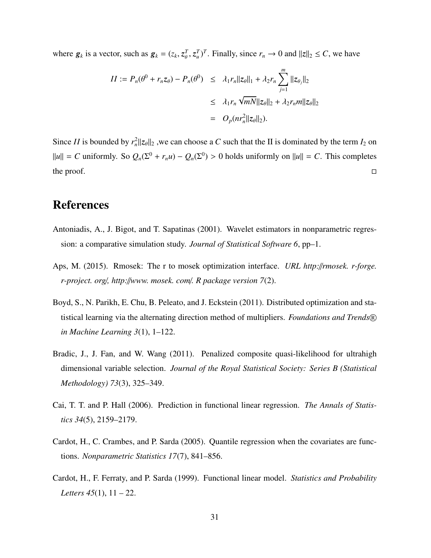where  $g_k$  is a vector, such as  $g_k = (z_k, z_\theta^T, z_u^T)^T$ . Finally, since  $r_n \to 0$  and  $||z||_2 \le C$ , we have

$$
II := P_n(\theta^0 + r_n z_\theta) - P_n(\theta^0) \le \lambda_1 r_n ||z_\theta||_1 + \lambda_2 r_n \sum_{j=1}^m ||z_{\theta_j}||_2
$$
  

$$
\le \lambda_1 r_n \sqrt{mN} ||z_\theta||_2 + \lambda_2 r_n m ||z_\theta||_2
$$
  

$$
= O_p(nr_n^2 ||z_\theta||_2).
$$

Since *II* is bounded by  $r_n^2 ||z_\theta||_2$ , we can choose a *C* such that the II is dominated by the term  $I_2$  on  $||u|| = C$  uniformly. So  $Q_n(\Sigma^0 + r_n u) - Q_n(\Sigma^0) > 0$  holds uniformly on  $||u|| = C$ . This completes the proof.  $\Box$ 

# References

- <span id="page-30-6"></span>Antoniadis, A., J. Bigot, and T. Sapatinas (2001). Wavelet estimators in nonparametric regression: a comparative simulation study. *Journal of Statistical Software 6*, pp–1.
- <span id="page-30-4"></span>Aps, M. (2015). Rmosek: The r to mosek optimization interface. *URL http:*//*rmosek. r-forge. r-project. org*/*, http:*//*www. mosek. com*/*. R package version 7*(2).
- <span id="page-30-5"></span>Boyd, S., N. Parikh, E. Chu, B. Peleato, and J. Eckstein (2011). Distributed optimization and statistical learning via the alternating direction method of multipliers. *Foundations and Trends* <sup>R</sup> *in Machine Learning 3*(1), 1–122.
- <span id="page-30-3"></span>Bradic, J., J. Fan, and W. Wang (2011). Penalized composite quasi-likelihood for ultrahigh dimensional variable selection. *Journal of the Royal Statistical Society: Series B (Statistical Methodology) 73*(3), 325–349.
- <span id="page-30-1"></span>Cai, T. T. and P. Hall (2006). Prediction in functional linear regression. *The Annals of Statistics 34*(5), 2159–2179.
- <span id="page-30-2"></span>Cardot, H., C. Crambes, and P. Sarda (2005). Quantile regression when the covariates are functions. *Nonparametric Statistics 17*(7), 841–856.
- <span id="page-30-0"></span>Cardot, H., F. Ferraty, and P. Sarda (1999). Functional linear model. *Statistics and Probability Letters 45*(1), 11 – 22.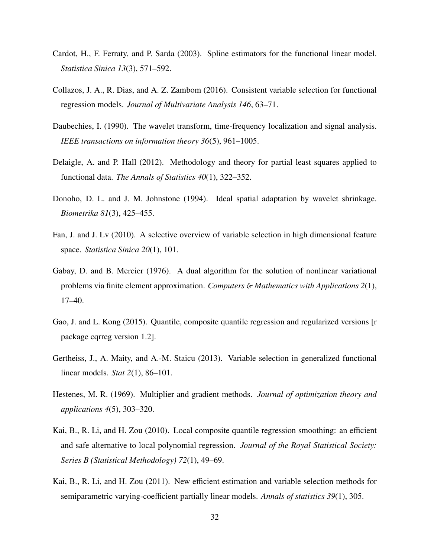- <span id="page-31-0"></span>Cardot, H., F. Ferraty, and P. Sarda (2003). Spline estimators for the functional linear model. *Statistica Sinica 13*(3), 571–592.
- <span id="page-31-10"></span>Collazos, J. A., R. Dias, and A. Z. Zambom (2016). Consistent variable selection for functional regression models. *Journal of Multivariate Analysis 146*, 63–71.
- <span id="page-31-3"></span>Daubechies, I. (1990). The wavelet transform, time-frequency localization and signal analysis. *IEEE transactions on information theory 36*(5), 961–1005.
- <span id="page-31-1"></span>Delaigle, A. and P. Hall (2012). Methodology and theory for partial least squares applied to functional data. *The Annals of Statistics 40*(1), 322–352.
- <span id="page-31-11"></span>Donoho, D. L. and J. M. Johnstone (1994). Ideal spatial adaptation by wavelet shrinkage. *Biometrika 81*(3), 425–455.
- <span id="page-31-5"></span>Fan, J. and J. Lv (2010). A selective overview of variable selection in high dimensional feature space. *Statistica Sinica 20*(1), 101.
- <span id="page-31-7"></span>Gabay, D. and B. Mercier (1976). A dual algorithm for the solution of nonlinear variational problems via finite element approximation. *Computers* & *Mathematics with Applications 2*(1), 17–40.
- <span id="page-31-9"></span>Gao, J. and L. Kong (2015). Quantile, composite quantile regression and regularized versions [r package cqrreg version 1.2].
- <span id="page-31-2"></span>Gertheiss, J., A. Maity, and A.-M. Staicu (2013). Variable selection in generalized functional linear models. *Stat 2*(1), 86–101.
- <span id="page-31-8"></span>Hestenes, M. R. (1969). Multiplier and gradient methods. *Journal of optimization theory and applications 4*(5), 303–320.
- <span id="page-31-4"></span>Kai, B., R. Li, and H. Zou (2010). Local composite quantile regression smoothing: an efficient and safe alternative to local polynomial regression. *Journal of the Royal Statistical Society: Series B (Statistical Methodology) 72*(1), 49–69.
- <span id="page-31-6"></span>Kai, B., R. Li, and H. Zou (2011). New efficient estimation and variable selection methods for semiparametric varying-coefficient partially linear models. *Annals of statistics 39*(1), 305.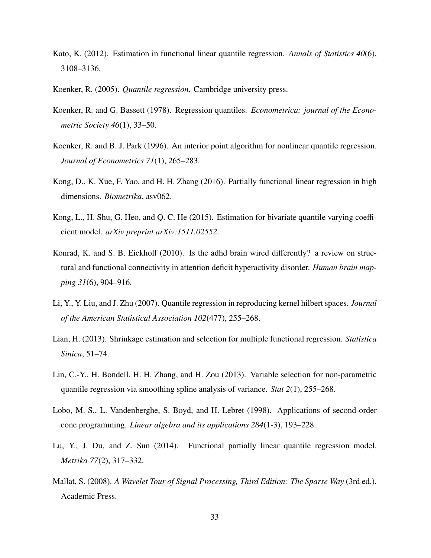- <span id="page-32-4"></span>Kato, K. (2012). Estimation in functional linear quantile regression. *Annals of Statistics 40*(6), 3108–3136.
- <span id="page-32-3"></span>Koenker, R. (2005). *Quantile regression*. Cambridge university press.
- <span id="page-32-2"></span>Koenker, R. and G. Bassett (1978). Regression quantiles. *Econometrica: journal of the Econometric Society 46*(1), 33–50.
- <span id="page-32-7"></span>Koenker, R. and B. J. Park (1996). An interior point algorithm for nonlinear quantile regression. *Journal of Econometrics 71*(1), 265–283.
- <span id="page-32-0"></span>Kong, D., K. Xue, F. Yao, and H. H. Zhang (2016). Partially functional linear regression in high dimensions. *Biometrika*, asv062.
- <span id="page-32-8"></span>Kong, L., H. Shu, G. Heo, and Q. C. He (2015). Estimation for bivariate quantile varying coefficient model. *arXiv preprint arXiv:1511.02552*.
- <span id="page-32-11"></span>Konrad, K. and S. B. Eickhoff (2010). Is the adhd brain wired differently? a review on structural and functional connectivity in attention deficit hyperactivity disorder. *Human brain mapping 31*(6), 904–916.
- <span id="page-32-9"></span>Li, Y., Y. Liu, and J. Zhu (2007). Quantile regression in reproducing kernel hilbert spaces. *Journal of the American Statistical Association 102*(477), 255–268.
- <span id="page-32-1"></span>Lian, H. (2013). Shrinkage estimation and selection for multiple functional regression. *Statistica Sinica*, 51–74.
- <span id="page-32-10"></span>Lin, C.-Y., H. Bondell, H. H. Zhang, and H. Zou (2013). Variable selection for non-parametric quantile regression via smoothing spline analysis of variance. *Stat 2*(1), 255–268.
- <span id="page-32-6"></span>Lobo, M. S., L. Vandenberghe, S. Boyd, and H. Lebret (1998). Applications of second-order cone programming. *Linear algebra and its applications 284*(1-3), 193–228.
- <span id="page-32-5"></span>Lu, Y., J. Du, and Z. Sun (2014). Functional partially linear quantile regression model. *Metrika 77*(2), 317–332.
- <span id="page-32-12"></span>Mallat, S. (2008). *A Wavelet Tour of Signal Processing, Third Edition: The Sparse Way* (3rd ed.). Academic Press.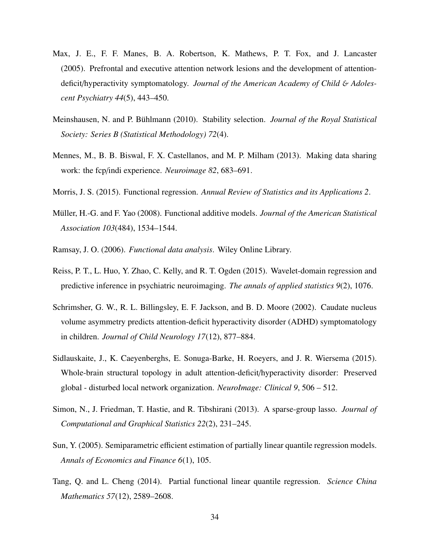- <span id="page-33-8"></span>Max, J. E., F. F. Manes, B. A. Robertson, K. Mathews, P. T. Fox, and J. Lancaster (2005). Prefrontal and executive attention network lesions and the development of attentiondeficit/hyperactivity symptomatology. *Journal of the American Academy of Child* & *Adolescent Psychiatry 44*(5), 443–450.
- <span id="page-33-7"></span>Meinshausen, N. and P. Bühlmann (2010). Stability selection. *Journal of the Royal Statistical Society: Series B (Statistical Methodology) 72*(4).
- <span id="page-33-6"></span>Mennes, M., B. B. Biswal, F. X. Castellanos, and M. P. Milham (2013). Making data sharing work: the fcp/indi experience. *Neuroimage 82*, 683–691.
- <span id="page-33-1"></span>Morris, J. S. (2015). Functional regression. *Annual Review of Statistics and its Applications 2*.
- <span id="page-33-2"></span>Müller, H.-G. and F. Yao (2008). Functional additive models. *Journal of the American Statistical Association 103*(484), 1534–1544.
- <span id="page-33-0"></span>Ramsay, J. O. (2006). *Functional data analysis*. Wiley Online Library.
- <span id="page-33-11"></span>Reiss, P. T., L. Huo, Y. Zhao, C. Kelly, and R. T. Ogden (2015). Wavelet-domain regression and predictive inference in psychiatric neuroimaging. *The annals of applied statistics 9*(2), 1076.
- <span id="page-33-9"></span>Schrimsher, G. W., R. L. Billingsley, E. F. Jackson, and B. D. Moore (2002). Caudate nucleus volume asymmetry predicts attention-deficit hyperactivity disorder (ADHD) symptomatology in children. *Journal of Child Neurology 17*(12), 877–884.
- <span id="page-33-10"></span>Sidlauskaite, J., K. Caeyenberghs, E. Sonuga-Barke, H. Roeyers, and J. R. Wiersema (2015). Whole-brain structural topology in adult attention-deficit/hyperactivity disorder: Preserved global - disturbed local network organization. *NeuroImage: Clinical 9*, 506 – 512.
- <span id="page-33-5"></span>Simon, N., J. Friedman, T. Hastie, and R. Tibshirani (2013). A sparse-group lasso. *Journal of Computational and Graphical Statistics 22*(2), 231–245.
- <span id="page-33-3"></span>Sun, Y. (2005). Semiparametric efficient estimation of partially linear quantile regression models. *Annals of Economics and Finance 6*(1), 105.
- <span id="page-33-4"></span>Tang, Q. and L. Cheng (2014). Partial functional linear quantile regression. *Science China Mathematics 57*(12), 2589–2608.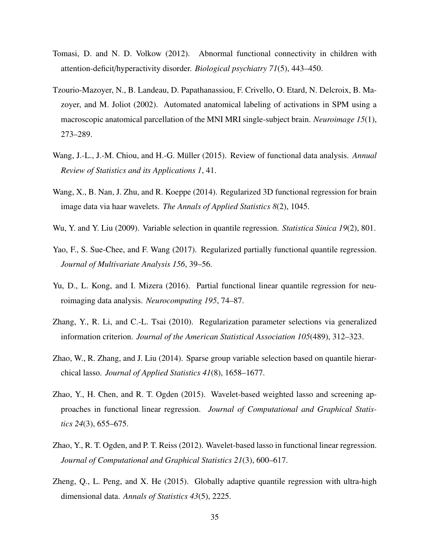- <span id="page-34-11"></span>Tomasi, D. and N. D. Volkow (2012). Abnormal functional connectivity in children with attention-deficit/hyperactivity disorder. *Biological psychiatry 71*(5), 443–450.
- <span id="page-34-10"></span>Tzourio-Mazoyer, N., B. Landeau, D. Papathanassiou, F. Crivello, O. Etard, N. Delcroix, B. Mazoyer, and M. Joliot (2002). Automated anatomical labeling of activations in SPM using a macroscopic anatomical parcellation of the MNI MRI single-subject brain. *Neuroimage 15*(1), 273–289.
- <span id="page-34-0"></span>Wang, J.-L., J.-M. Chiou, and H.-G. Müller (2015). Review of functional data analysis. *Annual Review of Statistics and its Applications 1*, 41.
- <span id="page-34-2"></span>Wang, X., B. Nan, J. Zhu, and R. Koeppe (2014). Regularized 3D functional regression for brain image data via haar wavelets. *The Annals of Applied Statistics 8*(2), 1045.
- <span id="page-34-7"></span>Wu, Y. and Y. Liu (2009). Variable selection in quantile regression. *Statistica Sinica 19*(2), 801.
- <span id="page-34-5"></span>Yao, F., S. Sue-Chee, and F. Wang (2017). Regularized partially functional quantile regression. *Journal of Multivariate Analysis 156*, 39–56.
- <span id="page-34-4"></span>Yu, D., L. Kong, and I. Mizera (2016). Partial functional linear quantile regression for neuroimaging data analysis. *Neurocomputing 195*, 74–87.
- <span id="page-34-8"></span>Zhang, Y., R. Li, and C.-L. Tsai (2010). Regularization parameter selections via generalized information criterion. *Journal of the American Statistical Association 105*(489), 312–323.
- <span id="page-34-6"></span>Zhao, W., R. Zhang, and J. Liu (2014). Sparse group variable selection based on quantile hierarchical lasso. *Journal of Applied Statistics 41*(8), 1658–1677.
- <span id="page-34-3"></span>Zhao, Y., H. Chen, and R. T. Ogden (2015). Wavelet-based weighted lasso and screening approaches in functional linear regression. *Journal of Computational and Graphical Statistics 24*(3), 655–675.
- <span id="page-34-1"></span>Zhao, Y., R. T. Ogden, and P. T. Reiss (2012). Wavelet-based lasso in functional linear regression. *Journal of Computational and Graphical Statistics 21*(3), 600–617.
- <span id="page-34-9"></span>Zheng, Q., L. Peng, and X. He (2015). Globally adaptive quantile regression with ultra-high dimensional data. *Annals of Statistics 43*(5), 2225.